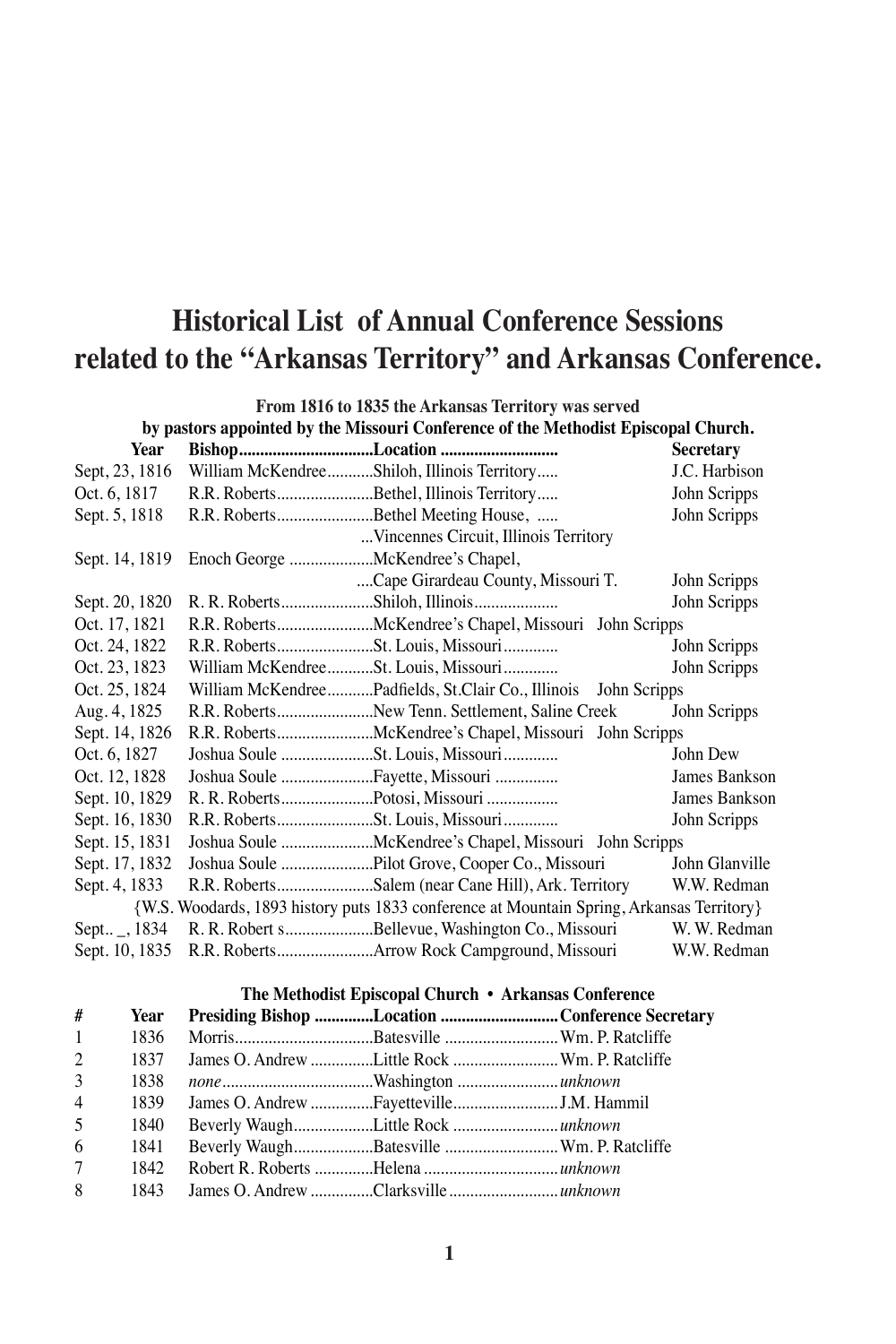## **Historical List of Annual Conference Sessions related to the "Arkansas Territory" and Arkansas Conference.**

| From 1816 to 1835 the Arkansas Territory was served |                                                                                           |                  |  |  |
|-----------------------------------------------------|-------------------------------------------------------------------------------------------|------------------|--|--|
|                                                     | by pastors appointed by the Missouri Conference of the Methodist Episcopal Church.        |                  |  |  |
| Year                                                | BishopLocation                                                                            | <b>Secretary</b> |  |  |
| Sept, 23, 1816                                      | William McKendreeShiloh, Illinois Territory                                               | J.C. Harbison    |  |  |
| Oct. 6, 1817                                        | R.R. RobertsBethel, Illinois Territory                                                    | John Scripps     |  |  |
| Sept. 5, 1818                                       | R.R. RobertsBethel Meeting House,                                                         | John Scripps     |  |  |
|                                                     | Vincennes Circuit, Illinois Territory                                                     |                  |  |  |
|                                                     | Sept. 14, 1819 Enoch George McKendree's Chapel,                                           |                  |  |  |
|                                                     | Cape Girardeau County, Missouri T.                                                        | John Scripps     |  |  |
| Sept. 20, 1820                                      | R. R. RobertsShiloh, Illinois                                                             | John Scripps     |  |  |
| Oct. 17, 1821                                       | R.R. RobertsMcKendree's Chapel, Missouri John Scripps                                     |                  |  |  |
| Oct. 24, 1822                                       |                                                                                           | John Scripps     |  |  |
| Oct. 23, 1823                                       | William McKendreeSt. Louis, Missouri                                                      | John Scripps     |  |  |
| Oct. 25, 1824                                       | William McKendreePadfields, St.Clair Co., Illinois<br>John Scripps                        |                  |  |  |
| Aug. 4, 1825                                        | R.R. RobertsNew Tenn. Settlement, Saline Creek                                            | John Scripps     |  |  |
| Sept. 14, 1826                                      | R.R. RobertsMcKendree's Chapel, Missouri John Scripps                                     |                  |  |  |
| Oct. 6, 1827                                        |                                                                                           | John Dew         |  |  |
| Oct. 12, 1828                                       | Joshua Soule Fayette, Missouri                                                            | James Bankson    |  |  |
| Sept. 10, 1829                                      | R. R. RobertsPotosi, Missouri                                                             | James Bankson    |  |  |
| Sept. 16, 1830                                      |                                                                                           | John Scripps     |  |  |
| Sept. 15, 1831                                      | Joshua Soule McKendree's Chapel, Missouri John Scripps                                    |                  |  |  |
| Sept. 17, 1832                                      | Joshua Soule Pilot Grove, Cooper Co., Missouri                                            | John Glanville   |  |  |
| Sept. 4, 1833                                       | R.R. RobertsSalem (near Cane Hill), Ark. Territory                                        | W.W. Redman      |  |  |
|                                                     | {W.S. Woodards, 1893 history puts 1833 conference at Mountain Spring, Arkansas Territory} |                  |  |  |
| Sept $\_$ , 1834                                    | R. R. Robert sBellevue, Washington Co., Missouri                                          | W. W. Redman     |  |  |
| Sept. 10, 1835                                      |                                                                                           | W.W. Redman      |  |  |
|                                                     |                                                                                           |                  |  |  |
|                                                     | The Methodist Enisconal Church • Arkansas Conference                                      |                  |  |  |

|   |             | The internollist Ephscopin Charter Thristinus Comercinee                                                                                                                                                                                                                                                                           |
|---|-------------|------------------------------------------------------------------------------------------------------------------------------------------------------------------------------------------------------------------------------------------------------------------------------------------------------------------------------------|
| # |             | Year Presiding Bishop Location Conference Secretary                                                                                                                                                                                                                                                                                |
|   | $100\leq N$ | $\mathbf{u}$ $\mathbf{v}$ $\mathbf{v}$ $\mathbf{v}$ $\mathbf{v}$ $\mathbf{v}$ $\mathbf{v}$ $\mathbf{v}$ $\mathbf{v}$ $\mathbf{v}$ $\mathbf{v}$ $\mathbf{v}$ $\mathbf{v}$ $\mathbf{v}$ $\mathbf{v}$ $\mathbf{v}$ $\mathbf{v}$ $\mathbf{v}$ $\mathbf{v}$ $\mathbf{v}$ $\mathbf{v}$ $\mathbf{v}$ $\mathbf{v}$ $\mathbf{v}$ $\mathbf{$ |

| $1 \quad \blacksquare$ |  |                                                    |  |
|------------------------|--|----------------------------------------------------|--|
| $2^{\circ}$            |  | 1837 James O. Andrew Little Rock  Wm. P. Ratcliffe |  |
| 3                      |  |                                                    |  |
| $\overline{4}$         |  | 1839 James O. Andrew FayettevilleJ.M. Hammil       |  |
| 5 <sup>5</sup>         |  |                                                    |  |
| 6 —                    |  | 1841 Beverly WaughBatesville  Wm. P. Ratcliffe     |  |
| 7                      |  |                                                    |  |
| $8 \quad$              |  |                                                    |  |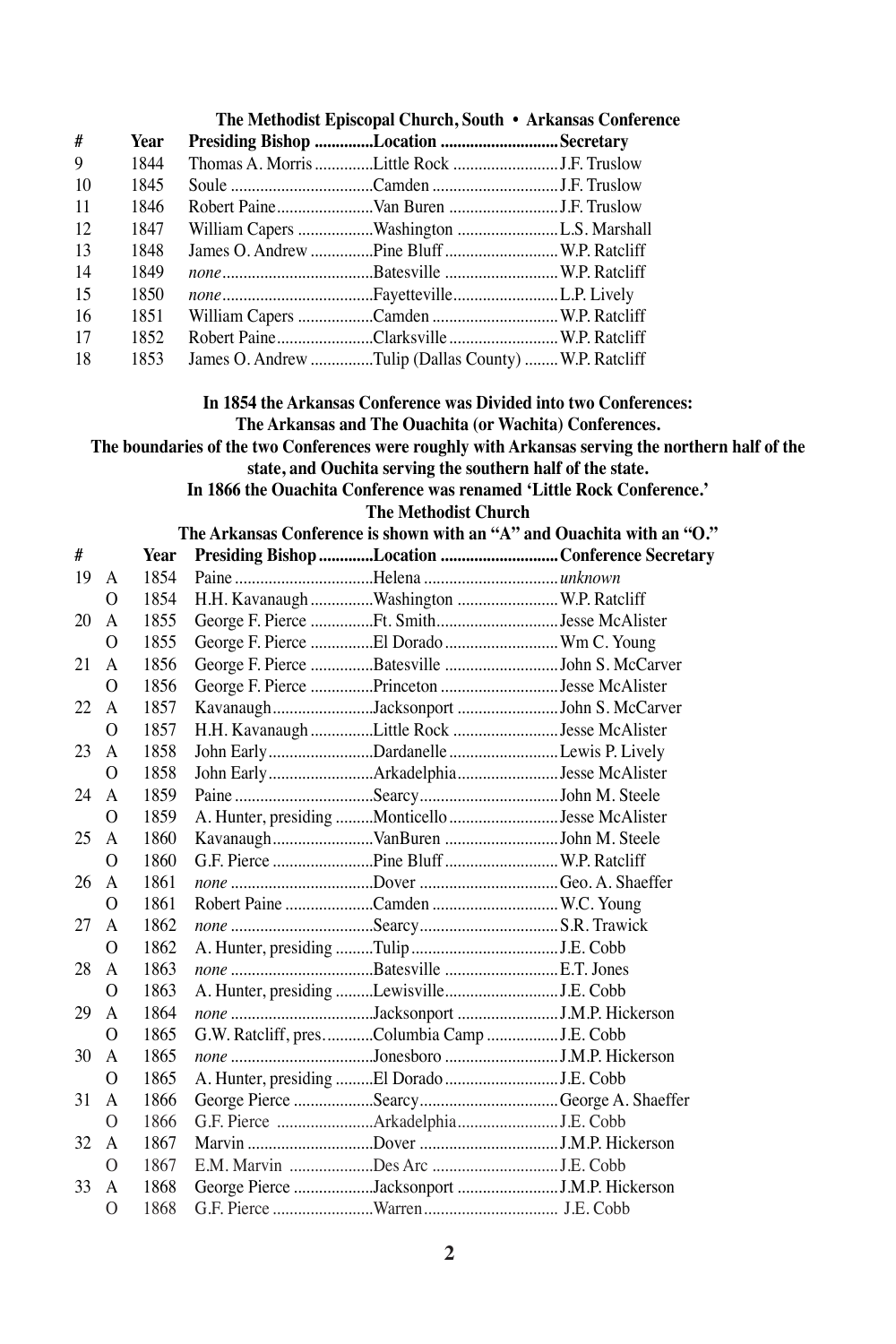|      | The Methodist Episcopal Church, South • Arkansas Conference                                                                                                                                                                                                                                     |      |                                                      |                                                 |                                                                        |  |  |
|------|-------------------------------------------------------------------------------------------------------------------------------------------------------------------------------------------------------------------------------------------------------------------------------------------------|------|------------------------------------------------------|-------------------------------------------------|------------------------------------------------------------------------|--|--|
| #    |                                                                                                                                                                                                                                                                                                 | Year | Presiding Bishop Location Secretary                  |                                                 |                                                                        |  |  |
| 9    |                                                                                                                                                                                                                                                                                                 | 1844 |                                                      |                                                 |                                                                        |  |  |
| 10   |                                                                                                                                                                                                                                                                                                 | 1845 |                                                      |                                                 |                                                                        |  |  |
| 11   |                                                                                                                                                                                                                                                                                                 | 1846 |                                                      |                                                 |                                                                        |  |  |
| 12   |                                                                                                                                                                                                                                                                                                 | 1847 | William Capers Washington L.S. Marshall              |                                                 |                                                                        |  |  |
| 13   |                                                                                                                                                                                                                                                                                                 | 1848 | James O. Andrew Pine Bluff  W.P. Ratcliff            |                                                 |                                                                        |  |  |
| 14   |                                                                                                                                                                                                                                                                                                 | 1849 |                                                      |                                                 |                                                                        |  |  |
| 15   |                                                                                                                                                                                                                                                                                                 | 1850 |                                                      |                                                 |                                                                        |  |  |
| 16   |                                                                                                                                                                                                                                                                                                 | 1851 |                                                      |                                                 |                                                                        |  |  |
| 17   |                                                                                                                                                                                                                                                                                                 | 1852 | Robert PaineClarksville W.P. Ratcliff                |                                                 |                                                                        |  |  |
| 18   |                                                                                                                                                                                                                                                                                                 | 1853 | James O. Andrew Tulip (Dallas County)  W.P. Ratcliff |                                                 |                                                                        |  |  |
|      | In 1854 the Arkansas Conference was Divided into two Conferences:<br>The Arkansas and The Ouachita (or Wachita) Conferences.<br>The boundaries of the two Conferences were roughly with Arkansas serving the northern half of the<br>state, and Ouchita serving the southern half of the state. |      |                                                      |                                                 |                                                                        |  |  |
|      |                                                                                                                                                                                                                                                                                                 |      |                                                      |                                                 | In 1866 the Ouachita Conference was renamed 'Little Rock Conference.'  |  |  |
|      |                                                                                                                                                                                                                                                                                                 |      |                                                      | <b>The Methodist Church</b>                     |                                                                        |  |  |
|      |                                                                                                                                                                                                                                                                                                 |      |                                                      |                                                 | The Arkansas Conference is shown with an "A" and Ouachita with an "O." |  |  |
| #    |                                                                                                                                                                                                                                                                                                 | Year |                                                      |                                                 | Presiding Bishop Location Conference Secretary                         |  |  |
| 19   | A                                                                                                                                                                                                                                                                                               | 1854 |                                                      |                                                 |                                                                        |  |  |
|      | 0                                                                                                                                                                                                                                                                                               | 1854 |                                                      | H.H. Kavanaugh Washington  W.P. Ratcliff        |                                                                        |  |  |
| 20   | A                                                                                                                                                                                                                                                                                               | 1855 |                                                      | George F. Pierce Ft. SmithJesse McAlister       |                                                                        |  |  |
|      | 0                                                                                                                                                                                                                                                                                               | 1855 |                                                      | George F. Pierce El Dorado  Wm C. Young         |                                                                        |  |  |
| 21   | A                                                                                                                                                                                                                                                                                               | 1856 |                                                      | George F. Pierce Batesville John S. McCarver    |                                                                        |  |  |
|      | 0                                                                                                                                                                                                                                                                                               | 1856 |                                                      | George F. Pierce Princeton Jesse McAlister      |                                                                        |  |  |
| 22   | A                                                                                                                                                                                                                                                                                               | 1857 |                                                      | KavanaughJacksonport John S. McCarver           |                                                                        |  |  |
|      | 0                                                                                                                                                                                                                                                                                               | 1857 |                                                      | H.H. Kavanaugh Little Rock Jesse McAlister      |                                                                        |  |  |
| 23   | A                                                                                                                                                                                                                                                                                               | 1858 |                                                      | John Early Dardanelle Lewis P. Lively           |                                                                        |  |  |
|      | 0                                                                                                                                                                                                                                                                                               | 1858 |                                                      | John Early ArkadelphiaJesse McAlister           |                                                                        |  |  |
| 24   | A                                                                                                                                                                                                                                                                                               | 1859 |                                                      |                                                 |                                                                        |  |  |
|      | 0                                                                                                                                                                                                                                                                                               | 1859 |                                                      | A. Hunter, presiding Monticello Jesse McAlister |                                                                        |  |  |
| 25   | A                                                                                                                                                                                                                                                                                               | 1860 |                                                      | KavanaughVanBuren John M. Steele                |                                                                        |  |  |
|      | 0                                                                                                                                                                                                                                                                                               | 1860 |                                                      | G.F. Pierce Pine Bluff  W.P. Ratcliff           |                                                                        |  |  |
| 26   | A                                                                                                                                                                                                                                                                                               | 1861 |                                                      | none Dover Geo. A. Shaeffer                     |                                                                        |  |  |
|      | 0                                                                                                                                                                                                                                                                                               | 1861 |                                                      | Robert Paine Camden  W.C. Young                 |                                                                        |  |  |
| 27   | A                                                                                                                                                                                                                                                                                               | 1862 |                                                      |                                                 |                                                                        |  |  |
|      | 0                                                                                                                                                                                                                                                                                               | 1862 |                                                      |                                                 |                                                                        |  |  |
| 28   | A                                                                                                                                                                                                                                                                                               | 1863 |                                                      |                                                 |                                                                        |  |  |
|      | 0                                                                                                                                                                                                                                                                                               | 1863 |                                                      |                                                 |                                                                        |  |  |
| 29   | A                                                                                                                                                                                                                                                                                               | 1864 |                                                      | none Jacksonport J.M.P. Hickerson               |                                                                        |  |  |
|      | О                                                                                                                                                                                                                                                                                               | 1865 |                                                      | G.W. Ratcliff, presColumbia Camp J.E. Cobb      |                                                                        |  |  |
| 30   | A                                                                                                                                                                                                                                                                                               | 1865 |                                                      | none Jonesboro J.M.P. Hickerson                 |                                                                        |  |  |
|      | 0                                                                                                                                                                                                                                                                                               | 1865 |                                                      |                                                 |                                                                        |  |  |
| 31   | A                                                                                                                                                                                                                                                                                               | 1866 |                                                      | George Pierce Searcy George A. Shaeffer         |                                                                        |  |  |
|      | 0                                                                                                                                                                                                                                                                                               | 1866 |                                                      | G.F. Pierce ArkadelphiaJ.E. Cobb                |                                                                        |  |  |
| 32 A |                                                                                                                                                                                                                                                                                                 | 1867 |                                                      |                                                 |                                                                        |  |  |
|      | 0                                                                                                                                                                                                                                                                                               | 1867 |                                                      |                                                 |                                                                        |  |  |
| 33   | A                                                                                                                                                                                                                                                                                               | 1868 |                                                      | George Pierce Jacksonport J.M.P. Hickerson      |                                                                        |  |  |
|      | 0                                                                                                                                                                                                                                                                                               | 1868 |                                                      |                                                 |                                                                        |  |  |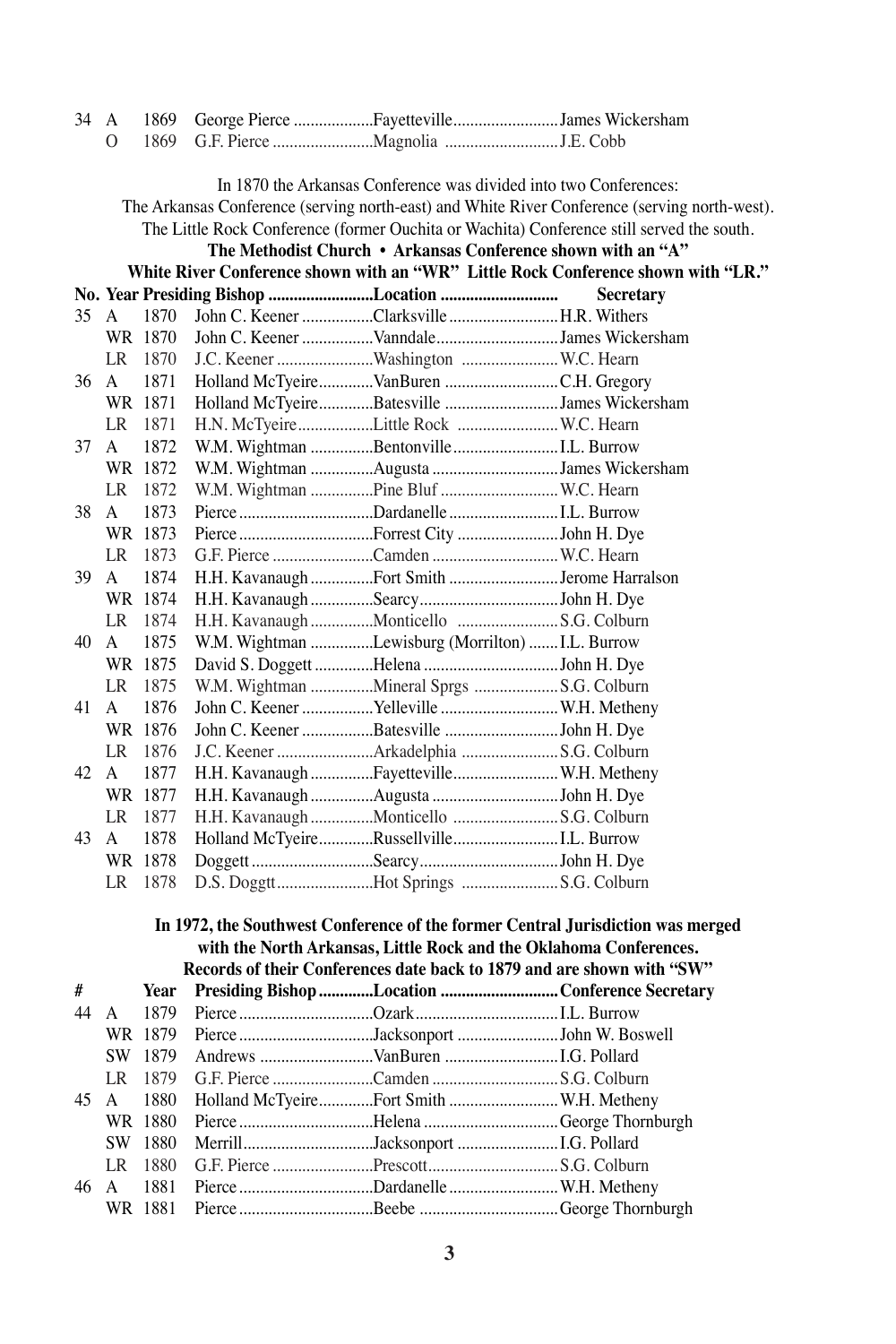| 34   | A            | 1869    |                                                                        |                                                                                               |
|------|--------------|---------|------------------------------------------------------------------------|-----------------------------------------------------------------------------------------------|
|      | 0            | 1869    |                                                                        |                                                                                               |
|      |              |         |                                                                        |                                                                                               |
|      |              |         | In 1870 the Arkansas Conference was divided into two Conferences:      |                                                                                               |
|      |              |         |                                                                        | The Arkansas Conference (serving north-east) and White River Conference (serving north-west). |
|      |              |         |                                                                        | The Little Rock Conference (former Ouchita or Wachita) Conference still served the south.     |
|      |              |         | The Methodist Church • Arkansas Conference shown with an "A"           |                                                                                               |
|      |              |         |                                                                        | White River Conference shown with an "WR" Little Rock Conference shown with "LR."             |
|      |              |         |                                                                        | Secretary                                                                                     |
| 35 A |              | 1870    | John C. Keener Clarksville  H.R. Withers                               |                                                                                               |
|      |              | WR 1870 | John C. Keener VanndaleJames Wickersham                                |                                                                                               |
|      |              | LR 1870 | J.C. Keener Washington  W.C. Hearn                                     |                                                                                               |
| 36   | A            | 1871    | Holland McTyeireVanBuren C.H. Gregory                                  |                                                                                               |
|      |              | WR 1871 | Holland McTyeireBatesville James Wickersham                            |                                                                                               |
|      |              | LR 1871 | H.N. McTyeireLittle Rock  W.C. Hearn                                   |                                                                                               |
| 37   | A            | 1872    | W.M. Wightman BentonvilleI.L. Burrow                                   |                                                                                               |
|      |              | WR 1872 | W.M. Wightman Augusta James Wickersham                                 |                                                                                               |
|      | LR           | 1872    | W.M. Wightman Pine Bluf  W.C. Hearn                                    |                                                                                               |
| 38   | A            | 1873    |                                                                        |                                                                                               |
|      |              | WR 1873 |                                                                        |                                                                                               |
|      |              | LR 1873 | G.F. Pierce Camden  W.C. Hearn                                         |                                                                                               |
| 39   | A            | 1874    | H.H. Kavanaugh Fort Smith Jerome Harralson                             |                                                                                               |
|      |              | WR 1874 |                                                                        |                                                                                               |
|      |              | LR 1874 | H.H. Kavanaugh Monticello  S.G. Colburn                                |                                                                                               |
| 40   | A            | 1875    | W.M. Wightman Lewisburg (Morrilton)  I.L. Burrow                       |                                                                                               |
|      |              | WR 1875 | David S. Doggett Helena John H. Dye                                    |                                                                                               |
|      | LR           | 1875    | W.M. Wightman Mineral Sprgs S.G. Colburn                               |                                                                                               |
| 41   | $\mathbf{A}$ | 1876    | John C. Keener Yelleville  W.H. Metheny                                |                                                                                               |
|      |              | WR 1876 | John C. Keener Batesville John H. Dye                                  |                                                                                               |
|      | LR           | 1876    | J.C. Keener Arkadelphia S.G. Colburn                                   |                                                                                               |
| 42   | A            | 1877    | H.H. Kavanaugh Fayetteville W.H. Metheny                               |                                                                                               |
|      |              | WR 1877 | H.H. Kavanaugh Augusta John H. Dye                                     |                                                                                               |
|      | LR –         | 1877    | H.H. Kavanaugh Monticello  S.G. Colburn                                |                                                                                               |
| 43   | A            | 1878    | Holland McTyeireRussellvilleI.L. Burrow                                |                                                                                               |
|      |              | WR 1878 |                                                                        |                                                                                               |
|      | LR           | 1878    | D.S. DoggttHot Springs S.G. Colburn                                    |                                                                                               |
|      |              |         |                                                                        |                                                                                               |
|      |              |         |                                                                        | In 1972, the Southwest Conference of the former Central Jurisdiction was merged               |
|      |              |         | with the North Arkansas, Little Rock and the Oklahoma Conferences.     |                                                                                               |
|      |              |         | Records of their Conferences date back to 1879 and are shown with "SW" |                                                                                               |
| #    |              | Year    | Presiding Bishop Location Conference Secretary                         |                                                                                               |
| 44   | A            | 1879    |                                                                        |                                                                                               |
|      |              | WR 1879 | Pierce Jacksonport John W. Boswell                                     |                                                                                               |
|      |              | SW 1879 | Andrews VanBuren I.G. Pollard                                          |                                                                                               |
|      | LR           | 1879    |                                                                        |                                                                                               |
| 45   | A            | 1880    | Holland McTyeireFort Smith  W.H. Metheny                               |                                                                                               |
|      |              | WR 1880 | Pierce Helena George Thornburgh                                        |                                                                                               |
|      |              | SW 1880 | MerrillJacksonport I.G. Pollard                                        |                                                                                               |
|      | LR           | 1880    |                                                                        |                                                                                               |
| 46   | A            | 1881    | Pierce Dardanelle  W.H. Metheny                                        |                                                                                               |
|      |              | WR 1881 |                                                                        |                                                                                               |
|      |              |         |                                                                        |                                                                                               |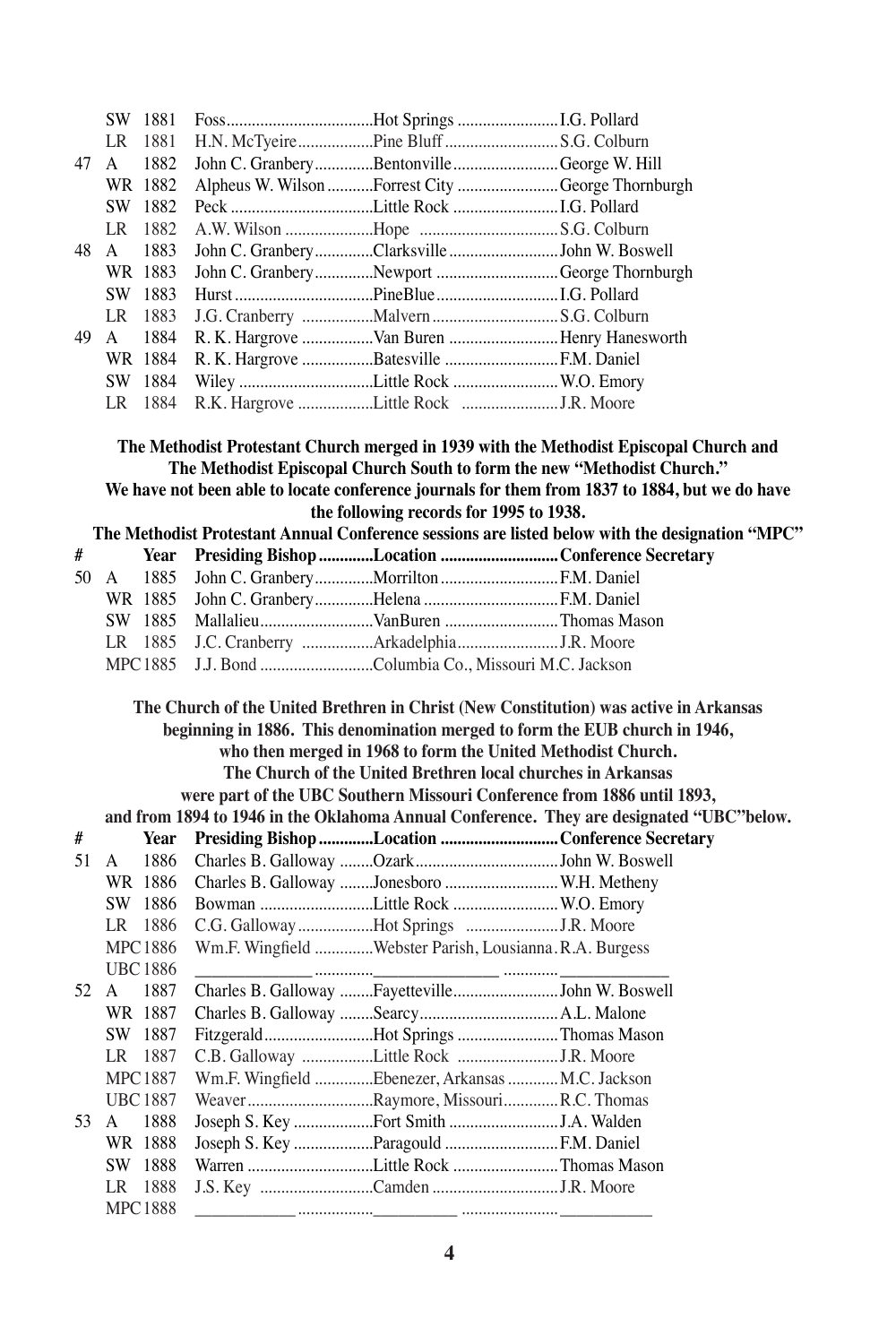|      |     | SW 1881        | FossHot Springs I.G. Pollard                                                                                        |                                                                                                                                                                                          |
|------|-----|----------------|---------------------------------------------------------------------------------------------------------------------|------------------------------------------------------------------------------------------------------------------------------------------------------------------------------------------|
|      | LR. | - 1881         | H.N. McTyeirePine BluffS.G. Colburn                                                                                 |                                                                                                                                                                                          |
| 47   | A   | 1882           | John C. GranberyBentonvilleGeorge W. Hill                                                                           |                                                                                                                                                                                          |
|      |     | WR 1882        | Alpheus W. Wilson Forrest City George Thornburgh                                                                    |                                                                                                                                                                                          |
|      |     | SW 1882        |                                                                                                                     |                                                                                                                                                                                          |
|      |     | LR 1882        |                                                                                                                     |                                                                                                                                                                                          |
| 48   | A   | 1883           | John C. GranberyClarksvilleJohn W. Boswell                                                                          |                                                                                                                                                                                          |
|      |     | WR 1883        | John C. GranberyNewport George Thornburgh                                                                           |                                                                                                                                                                                          |
|      |     | SW 1883        |                                                                                                                     |                                                                                                                                                                                          |
|      |     | LR 1883        |                                                                                                                     |                                                                                                                                                                                          |
| 49   | A   | 1884           | R. K. Hargrove Van Buren  Henry Hanesworth                                                                          |                                                                                                                                                                                          |
|      |     | WR 1884        | R. K. Hargrove Batesville  F.M. Daniel                                                                              |                                                                                                                                                                                          |
|      |     | SW 1884        | Wiley Little Rock  W.O. Emory                                                                                       |                                                                                                                                                                                          |
|      |     | LR 1884        |                                                                                                                     |                                                                                                                                                                                          |
|      |     |                | The Methodist Episcopal Church South to form the new "Methodist Church."<br>the following records for 1995 to 1938. | The Methodist Protestant Church merged in 1939 with the Methodist Episcopal Church and<br>We have not been able to locate conference journals for them from 1837 to 1884, but we do have |
|      |     |                |                                                                                                                     | The Methodist Protestant Annual Conference sessions are listed below with the designation "MPC"                                                                                          |
| #    |     | Year           | Presiding Bishop Location Conference Secretary                                                                      |                                                                                                                                                                                          |
| 50   | A   | 1885           |                                                                                                                     |                                                                                                                                                                                          |
|      |     | WR 1885        | John C. GranberyHelena F.M. Daniel                                                                                  |                                                                                                                                                                                          |
|      |     | SW 1885        |                                                                                                                     |                                                                                                                                                                                          |
|      |     | LR 1885        | J.C. Cranberry ArkadelphiaJ.R. Moore                                                                                |                                                                                                                                                                                          |
|      |     | MPC 1885       | J.J. Bond Columbia Co., Missouri M.C. Jackson                                                                       |                                                                                                                                                                                          |
|      |     |                |                                                                                                                     | The Church of the United Brethren in Christ (New Constitution) was active in Arkansas                                                                                                    |
|      |     |                | beginning in 1886. This denomination merged to form the EUB church in 1946,                                         |                                                                                                                                                                                          |
|      |     |                | who then merged in 1968 to form the United Methodist Church.                                                        |                                                                                                                                                                                          |
|      |     |                | The Church of the United Brethren local churches in Arkansas                                                        |                                                                                                                                                                                          |
|      |     |                | were part of the UBC Southern Missouri Conference from 1886 until 1893,                                             | and from 1894 to 1946 in the Oklahoma Annual Conference. They are designated "UBC"below.                                                                                                 |
| #    |     | Year           | Presiding Bishop Location Conference Secretary                                                                      |                                                                                                                                                                                          |
| 51   | A   | 1886           |                                                                                                                     |                                                                                                                                                                                          |
|      |     | WR 1886        | Charles B. Galloway Jonesboro  W.H. Metheny                                                                         |                                                                                                                                                                                          |
|      |     | SW 1886        | Bowman Little Rock  W.O. Emory                                                                                      |                                                                                                                                                                                          |
|      |     | LR 1886        | C.G. Galloway Hot Springs J.R. Moore                                                                                |                                                                                                                                                                                          |
|      |     | <b>MPC1886</b> | Wm.F. Wingfield Webster Parish, Lousianna.R.A. Burgess                                                              |                                                                                                                                                                                          |
|      |     | <b>UBC1886</b> |                                                                                                                     |                                                                                                                                                                                          |
| 52 A |     | 1887           | Charles B. Galloway FayettevilleJohn W. Boswell                                                                     |                                                                                                                                                                                          |
|      |     | WR 1887        |                                                                                                                     |                                                                                                                                                                                          |
|      |     | SW 1887        | FitzgeraldHot Springs Thomas Mason                                                                                  |                                                                                                                                                                                          |
|      | LR  | 1887           |                                                                                                                     |                                                                                                                                                                                          |
|      |     | <b>MPC1887</b> | Wm.F. Wingfield Ebenezer, Arkansas  M.C. Jackson                                                                    |                                                                                                                                                                                          |
|      |     | <b>UBC1887</b> |                                                                                                                     |                                                                                                                                                                                          |
| 53   | A   | 1888           |                                                                                                                     |                                                                                                                                                                                          |
|      |     | WR 1888        | Joseph S. Key Paragould  F.M. Daniel                                                                                |                                                                                                                                                                                          |
|      |     | SW 1888        | Warren Little Rock Thomas Mason                                                                                     |                                                                                                                                                                                          |
|      |     | LR 1888        |                                                                                                                     |                                                                                                                                                                                          |
|      |     | <b>MPC1888</b> |                                                                                                                     |                                                                                                                                                                                          |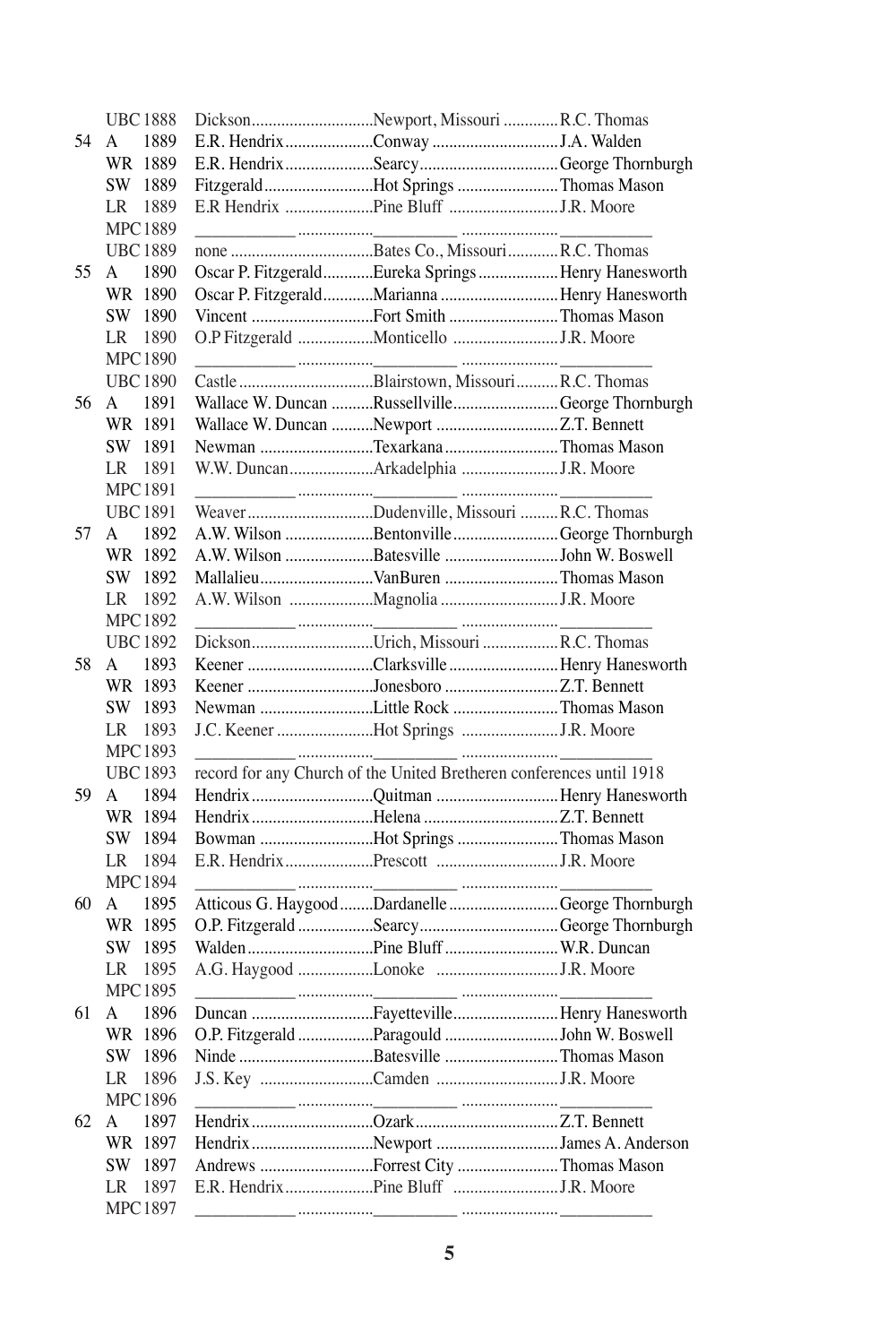|    | <b>UBC1888</b> | DicksonNewport, MissouriR.C. Thomas                                                                                                                                                                                                                                                                                                                                                                      |  |
|----|----------------|----------------------------------------------------------------------------------------------------------------------------------------------------------------------------------------------------------------------------------------------------------------------------------------------------------------------------------------------------------------------------------------------------------|--|
| 54 | 1889<br>A      |                                                                                                                                                                                                                                                                                                                                                                                                          |  |
|    | WR 1889        | E.R. HendrixSearcyGeorge Thornburgh                                                                                                                                                                                                                                                                                                                                                                      |  |
|    | SW 1889        | FitzgeraldHot Springs Thomas Mason                                                                                                                                                                                                                                                                                                                                                                       |  |
|    | 1889<br>LR     |                                                                                                                                                                                                                                                                                                                                                                                                          |  |
|    | <b>MPC1889</b> |                                                                                                                                                                                                                                                                                                                                                                                                          |  |
|    | <b>UBC1889</b> |                                                                                                                                                                                                                                                                                                                                                                                                          |  |
| 55 | 1890<br>A      | Oscar P. FitzgeraldEureka SpringsHenry Hanesworth                                                                                                                                                                                                                                                                                                                                                        |  |
|    |                |                                                                                                                                                                                                                                                                                                                                                                                                          |  |
|    | WR 1890        | Oscar P. FitzgeraldMarianna Henry Hanesworth                                                                                                                                                                                                                                                                                                                                                             |  |
|    | 1890<br>SW     | Vincent Fort Smith Thomas Mason                                                                                                                                                                                                                                                                                                                                                                          |  |
|    | 1890<br>LR     | O.P Fitzgerald Monticello J.R. Moore                                                                                                                                                                                                                                                                                                                                                                     |  |
|    | <b>MPC1890</b> |                                                                                                                                                                                                                                                                                                                                                                                                          |  |
|    | <b>UBC1890</b> | Castle Blairstown, MissouriR.C. Thomas                                                                                                                                                                                                                                                                                                                                                                   |  |
| 56 | 1891<br>A      | Wallace W. Duncan RussellvilleGeorge Thornburgh                                                                                                                                                                                                                                                                                                                                                          |  |
|    | WR 1891        | Wallace W. Duncan Newport Z.T. Bennett                                                                                                                                                                                                                                                                                                                                                                   |  |
|    | SW 1891        | Newman Texarkana Thomas Mason                                                                                                                                                                                                                                                                                                                                                                            |  |
|    | 1891<br>LR     | W.W. DuncanArkadelphia J.R. Moore                                                                                                                                                                                                                                                                                                                                                                        |  |
|    | <b>MPC1891</b> |                                                                                                                                                                                                                                                                                                                                                                                                          |  |
|    | <b>UBC1891</b> | WeaverDudenville, Missouri R.C. Thomas                                                                                                                                                                                                                                                                                                                                                                   |  |
|    |                |                                                                                                                                                                                                                                                                                                                                                                                                          |  |
| 57 | 1892<br>A      | A.W. Wilson Bentonville George Thornburgh                                                                                                                                                                                                                                                                                                                                                                |  |
|    | WR 1892        | A.W. Wilson Batesville John W. Boswell                                                                                                                                                                                                                                                                                                                                                                   |  |
|    | SW 1892        | MallalieuVanBuren Thomas Mason                                                                                                                                                                                                                                                                                                                                                                           |  |
|    | LR.<br>1892    | A.W. Wilson Magnolia J.R. Moore                                                                                                                                                                                                                                                                                                                                                                          |  |
|    | <b>MPC1892</b> | $\mathcal{L} = \{ \mathbf{L} \mid \mathbf{L} \in \mathbb{R}^n : \mathbf{L} \in \mathbb{R}^n : \mathbf{L} \in \mathbb{R}^n : \mathbf{L} \in \mathbb{R}^n : \mathbf{L} \in \mathbb{R}^n : \mathbf{L} \in \mathbb{R}^n : \mathbf{L} \in \mathbb{R}^n : \mathbf{L} \in \mathbb{R}^n : \mathbf{L} \in \mathbb{R}^n : \mathbf{L} \in \mathbb{R}^n : \mathbf{L} \in \mathbb{R}^n : \mathbf{L} \in \mathbb{R}^n$ |  |
|    | <b>UBC1892</b> | DicksonUrich, MissouriR.C. Thomas                                                                                                                                                                                                                                                                                                                                                                        |  |
| 58 | 1893<br>A      | Keener Clarksville  Henry Hanesworth                                                                                                                                                                                                                                                                                                                                                                     |  |
|    | WR 1893        | Keener Jonesboro Z.T. Bennett                                                                                                                                                                                                                                                                                                                                                                            |  |
|    | SW 1893        | Newman Little Rock Thomas Mason                                                                                                                                                                                                                                                                                                                                                                          |  |
|    | LR 1893        | J.C. Keener Hot Springs J.R. Moore                                                                                                                                                                                                                                                                                                                                                                       |  |
|    | MPC1893        |                                                                                                                                                                                                                                                                                                                                                                                                          |  |
|    |                |                                                                                                                                                                                                                                                                                                                                                                                                          |  |
|    | <b>UBC1893</b> | record for any Church of the United Bretheren conferences until 1918                                                                                                                                                                                                                                                                                                                                     |  |
| 59 | 1894<br>A      | Hendrix Quitman Henry Hanesworth                                                                                                                                                                                                                                                                                                                                                                         |  |
|    | WR 1894        | Hendrix Helena Z.T. Bennett                                                                                                                                                                                                                                                                                                                                                                              |  |
|    | SW 1894        | Bowman Hot Springs Thomas Mason                                                                                                                                                                                                                                                                                                                                                                          |  |
|    | 1894<br>LR     |                                                                                                                                                                                                                                                                                                                                                                                                          |  |
|    | <b>MPC1894</b> |                                                                                                                                                                                                                                                                                                                                                                                                          |  |
| 60 | 1895<br>A      | Atticous G. Haygood Dardanelle George Thornburgh                                                                                                                                                                                                                                                                                                                                                         |  |
|    | WR 1895        | O.P. Fitzgerald Searcy George Thornburgh                                                                                                                                                                                                                                                                                                                                                                 |  |
|    | SW 1895        |                                                                                                                                                                                                                                                                                                                                                                                                          |  |
|    | 1895<br>LR     |                                                                                                                                                                                                                                                                                                                                                                                                          |  |
|    | <b>MPC1895</b> |                                                                                                                                                                                                                                                                                                                                                                                                          |  |
|    | 1896           |                                                                                                                                                                                                                                                                                                                                                                                                          |  |
| 61 | A              | Duncan FayettevilleHenry Hanesworth                                                                                                                                                                                                                                                                                                                                                                      |  |
|    | WR 1896        | O.P. Fitzgerald Paragould John W. Boswell                                                                                                                                                                                                                                                                                                                                                                |  |
|    | SW 1896        | Ninde Batesville Thomas Mason                                                                                                                                                                                                                                                                                                                                                                            |  |
|    | 1896<br>LR     | J.S. Key Camden J.R. Moore                                                                                                                                                                                                                                                                                                                                                                               |  |
|    | <b>MPC1896</b> | <u>in a communication of the communication</u>                                                                                                                                                                                                                                                                                                                                                           |  |
| 62 | 1897<br>A      |                                                                                                                                                                                                                                                                                                                                                                                                          |  |
|    | WR<br>1897     | Hendrix Newport James A. Anderson                                                                                                                                                                                                                                                                                                                                                                        |  |
|    | SW<br>1897     | Andrews Forrest City Thomas Mason                                                                                                                                                                                                                                                                                                                                                                        |  |
|    | 1897<br>LR     |                                                                                                                                                                                                                                                                                                                                                                                                          |  |
|    | MPC1897        | and the community of the community of the community of the community of the community of the community of the c                                                                                                                                                                                                                                                                                          |  |
|    |                |                                                                                                                                                                                                                                                                                                                                                                                                          |  |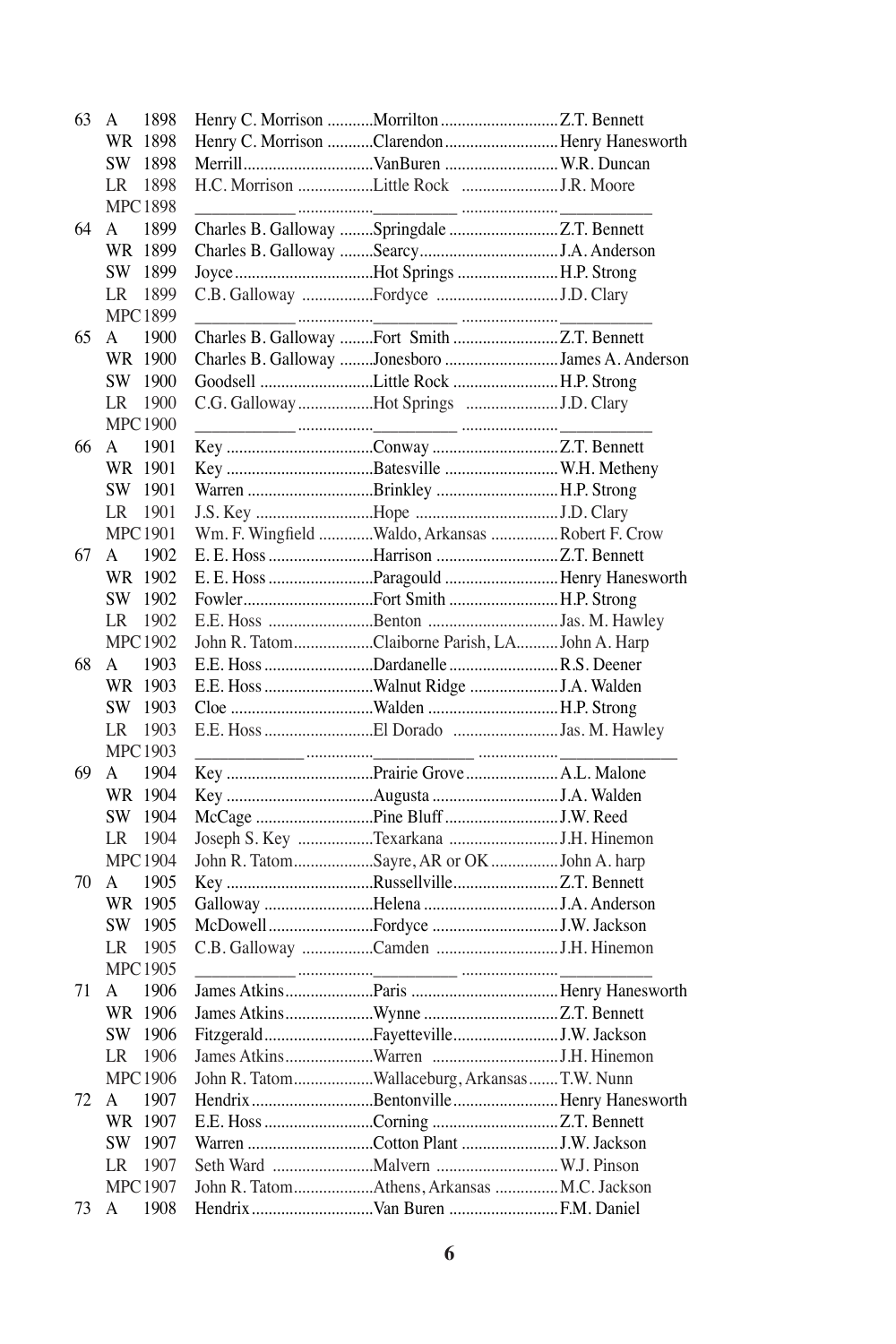| 63 | 1898<br>A      |                                                  |                                                 |
|----|----------------|--------------------------------------------------|-------------------------------------------------|
|    | WR 1898        |                                                  | Henry C. Morrison Clarendon  Henry Hanesworth   |
|    | SW 1898        | MerrillVanBuren  W.R. Duncan                     |                                                 |
|    | LR<br>1898     | H.C. Morrison Little Rock J.R. Moore             |                                                 |
|    | <b>MPC1898</b> |                                                  |                                                 |
| 64 | A<br>1899      |                                                  |                                                 |
|    | WR 1899        |                                                  |                                                 |
|    | SW 1899        | Joyce Hot Springs H.P. Strong                    |                                                 |
|    | LR<br>1899     |                                                  |                                                 |
|    | MPC 1899       |                                                  |                                                 |
| 65 | A<br>1900      | Charles B. Galloway Fort Smith Z.T. Bennett      |                                                 |
|    | WR 1900        |                                                  | Charles B. Galloway Jonesboro James A. Anderson |
|    | SW 1900        | Goodsell Little Rock H.P. Strong                 |                                                 |
|    | LR<br>1900     | C.G. Galloway Hot Springs J.D. Clary             |                                                 |
|    | <b>MPC1900</b> |                                                  |                                                 |
| 66 | A<br>1901      |                                                  |                                                 |
|    |                |                                                  |                                                 |
|    | WR 1901        |                                                  |                                                 |
|    | SW 1901        | Warren Brinkley H.P. Strong                      |                                                 |
|    | LR<br>1901     |                                                  |                                                 |
|    | <b>MPC1901</b> | Wm. F. Wingfield Waldo, Arkansas  Robert F. Crow |                                                 |
| 67 | A<br>1902      |                                                  |                                                 |
|    | WR 1902        |                                                  | E. E. Hoss Paragould Henry Hanesworth           |
|    | SW 1902        | FowlerFort Smith H.P. Strong                     |                                                 |
|    | LR<br>1902     | E.E. Hoss Benton Jas. M. Hawley                  |                                                 |
|    | <b>MPC1902</b> | John R. TatomClaiborne Parish, LAJohn A. Harp    |                                                 |
| 68 | A<br>1903      | E.E. Hoss Dardanelle  R.S. Deener                |                                                 |
|    | WR 1903        |                                                  |                                                 |
|    | SW 1903        |                                                  |                                                 |
|    | LR<br>1903     | E.E. Hoss El Dorado Jas. M. Hawley               |                                                 |
|    | <b>MPC1903</b> |                                                  |                                                 |
| 69 | 1904<br>A      |                                                  |                                                 |
|    | WR 1904        |                                                  |                                                 |
|    | SW 1904        |                                                  |                                                 |
|    | LR<br>1904     |                                                  |                                                 |
|    | <b>MPC1904</b> | John R. TatomSayre, AR or OKJohn A. harp         |                                                 |
| 70 | A<br>1905      |                                                  |                                                 |
|    | WR 1905        |                                                  |                                                 |
|    | SW 1905        |                                                  |                                                 |
|    | LR 1905        |                                                  |                                                 |
|    | <b>MPC1905</b> |                                                  |                                                 |
| 71 | 1906<br>A      |                                                  |                                                 |
|    | WR 1906        |                                                  |                                                 |
|    | SW 1906        |                                                  |                                                 |
|    | 1906<br>LR     |                                                  |                                                 |
|    | <b>MPC1906</b> | John R. TatomWallaceburg, ArkansasT.W. Nunn      |                                                 |
| 72 | 1907<br>A      |                                                  | Hendrix Bentonville Henry Hanesworth            |
|    | WR 1907        |                                                  |                                                 |
|    | SW<br>1907     |                                                  |                                                 |
|    | 1907<br>LR     |                                                  |                                                 |
|    | <b>MPC1907</b> | John R. TatomAthens, Arkansas  M.C. Jackson      |                                                 |
|    |                |                                                  |                                                 |
| 73 | 1908<br>А      |                                                  |                                                 |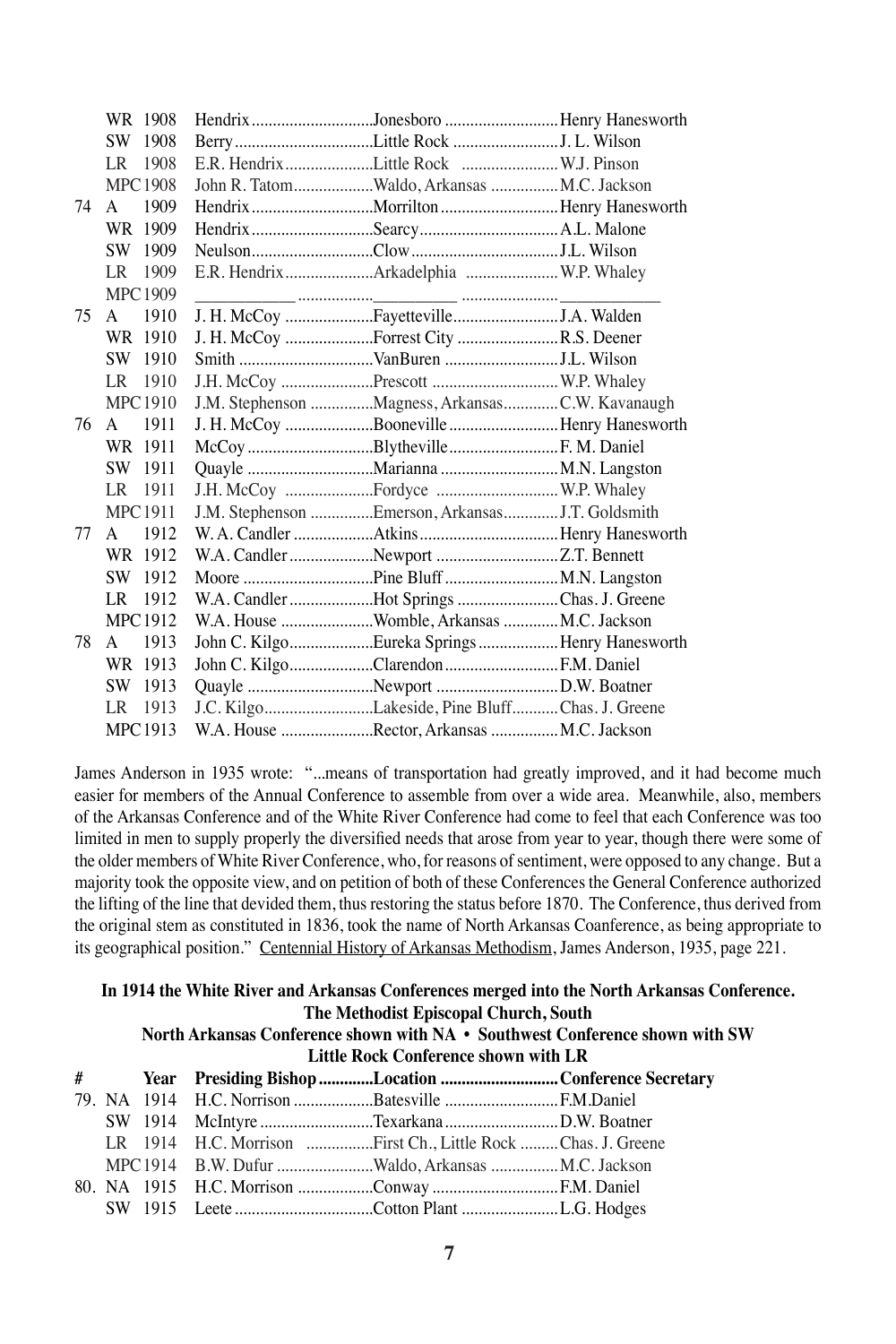|    | WR 1908              | Hendrix Jonesboro Henry Hanesworth              |  |
|----|----------------------|-------------------------------------------------|--|
|    | 1908<br>SW.          |                                                 |  |
|    | 1908<br>LR           | E.R. HendrixLittle Rock  W.J. Pinson            |  |
|    | <b>MPC1908</b>       | John R. TatomWaldo, Arkansas  M.C. Jackson      |  |
| 74 | 1909<br>$\mathsf{A}$ |                                                 |  |
|    | WR 1909              |                                                 |  |
|    | 1909<br>SW.          |                                                 |  |
|    | LR 1909              | E.R. HendrixArkadelphia  W.P. Whaley            |  |
|    | <b>MPC1909</b>       |                                                 |  |
| 75 | 1910<br>A            | J. H. McCoy FayettevilleJ.A. Walden             |  |
|    | WR 1910              | J. H. McCoy Forrest City R.S. Deener            |  |
|    | SW 1910              | Smith VanBuren J.L. Wilson                      |  |
|    | LR<br>1910           | J.H. McCoy Prescott  W.P. Whaley                |  |
|    | <b>MPC1910</b>       | J.M. Stephenson Magness, ArkansasC.W. Kavanaugh |  |
| 76 | 1911<br>$\mathsf{A}$ | J. H. McCoy Booneville Henry Hanesworth         |  |
|    | WR 1911              | McCoy BlythevilleF. M. Daniel                   |  |
|    | 1911<br>SW.          |                                                 |  |
|    | LR 1911              |                                                 |  |
|    | <b>MPC1911</b>       | J.M. Stephenson Emerson, ArkansasJ.T. Goldsmith |  |
| 77 | 1912<br>$\mathsf{A}$ |                                                 |  |
|    | WR 1912              | W.A. Candler Newport Z.T. Bennett               |  |
|    | 1912<br>SW.          |                                                 |  |
|    | 1912<br>LR           | W.A. Candler Hot Springs Chas. J. Greene        |  |
|    | <b>MPC1912</b>       | W.A. House Womble, Arkansas  M.C. Jackson       |  |
| 78 | 1913<br>$\mathsf{A}$ | John C. KilgoEureka SpringsHenry Hanesworth     |  |
|    | WR 1913              | John C. KilgoClarendon F.M. Daniel              |  |
|    | 1913<br>SW.          |                                                 |  |
|    | 1913<br>LR           | J.C. KilgoLakeside, Pine BluffChas. J. Greene   |  |
|    | MPC 1913             | W.A. House Rector, Arkansas M.C. Jackson        |  |

James Anderson in 1935 wrote: "...means of transportation had greatly improved, and it had become much easier for members of the Annual Conference to assemble from over a wide area. Meanwhile, also, members of the Arkansas Conference and of the White River Conference had come to feel that each Conference was too limited in men to supply properly the diversified needs that arose from year to year, though there were some of the older members of White River Conference, who, for reasons of sentiment, were opposed to any change. But a majority took the opposite view, and on petition of both of these Conferences the General Conference authorized the lifting of the line that devided them, thus restoring the status before 1870. The Conference, thus derived from the original stem as constituted in 1836, took the name of North Arkansas Coanference, as being appropriate to its geographical position." Centennial History of Arkansas Methodism, James Anderson, 1935, page 221.

|                                                                                                                       |  |  |                                                               | In 1914 the White River and Arkansas Conferences merged into the North Arkansas Conference. |  |
|-----------------------------------------------------------------------------------------------------------------------|--|--|---------------------------------------------------------------|---------------------------------------------------------------------------------------------|--|
| The Methodist Episcopal Church, South<br>North Arkansas Conference shown with NA • Southwest Conference shown with SW |  |  |                                                               |                                                                                             |  |
|                                                                                                                       |  |  | <b>Little Rock Conference shown with LR</b>                   |                                                                                             |  |
|                                                                                                                       |  |  |                                                               | # Year Presiding Bishop Location Conference Secretary                                       |  |
|                                                                                                                       |  |  |                                                               |                                                                                             |  |
|                                                                                                                       |  |  |                                                               |                                                                                             |  |
|                                                                                                                       |  |  | LR 1914 H.C. Morrison First Ch., Little Rock  Chas. J. Greene |                                                                                             |  |
|                                                                                                                       |  |  | MPC 1914 B.W. Dufur Waldo, Arkansas M.C. Jackson              |                                                                                             |  |
|                                                                                                                       |  |  |                                                               |                                                                                             |  |
|                                                                                                                       |  |  |                                                               |                                                                                             |  |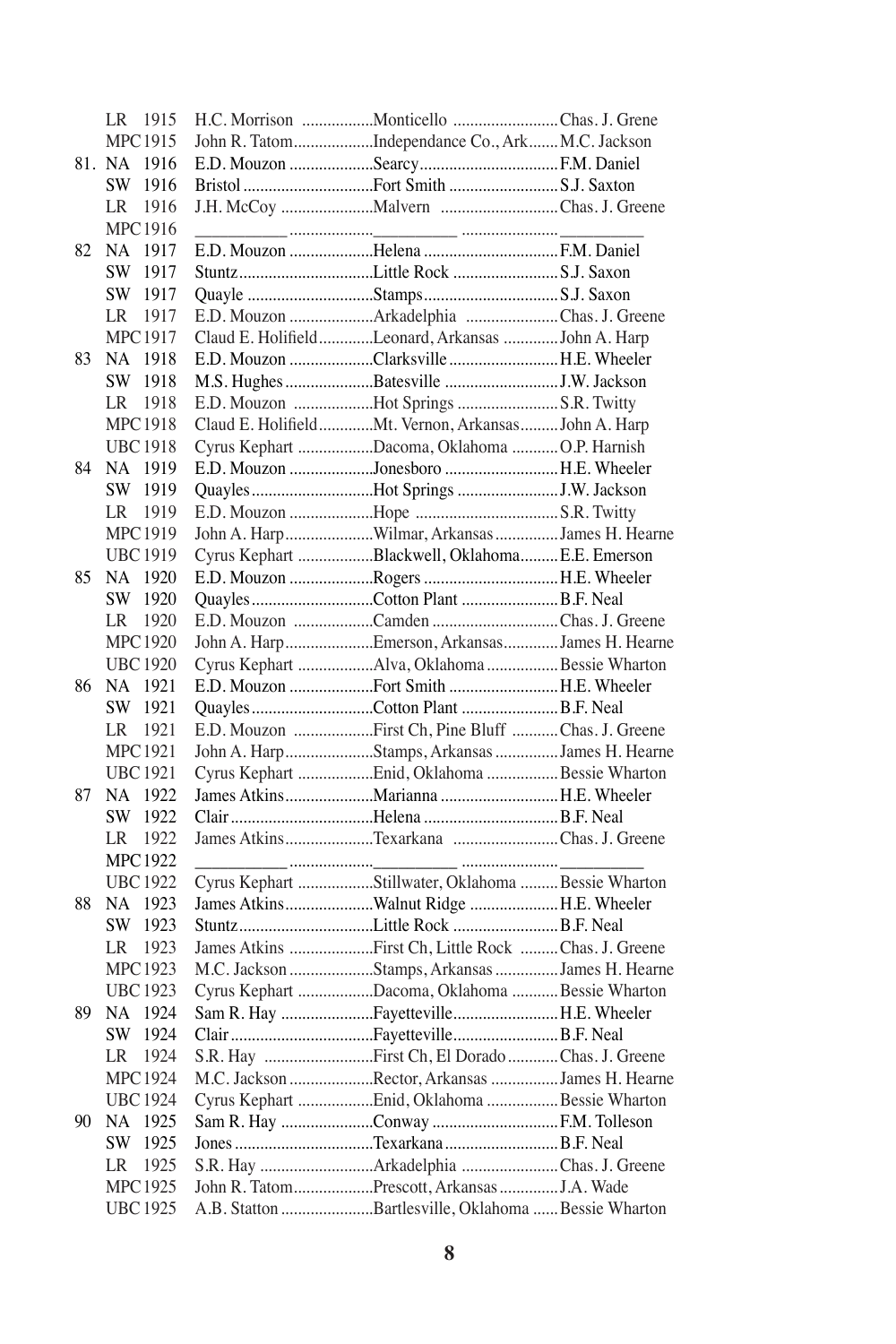|    | LR 1915         | H.C. Morrison Monticello Chas. J. Grene                                                      |  |
|----|-----------------|----------------------------------------------------------------------------------------------|--|
|    | <b>MPC1915</b>  | John R. TatomIndependance Co., Ark M.C. Jackson                                              |  |
|    | 81. NA 1916     |                                                                                              |  |
|    | SW 1916         | Bristol Fort Smith S.J. Saxton                                                               |  |
|    | LR 1916         |                                                                                              |  |
|    | <b>MPC1916</b>  |                                                                                              |  |
| 82 | NA 1917         |                                                                                              |  |
|    | SW 1917         |                                                                                              |  |
|    | SW 1917         |                                                                                              |  |
|    | 1917<br>LR      | E.D. Mouzon Arkadelphia Chas. J. Greene                                                      |  |
|    | <b>MPC1917</b>  | Claud E. HolifieldLeonard, Arkansas John A. Harp                                             |  |
| 83 | NA 1918         | E.D. Mouzon Clarksville  H.E. Wheeler                                                        |  |
|    | SW 1918         |                                                                                              |  |
|    | LR 1918         | E.D. Mouzon Hot Springs S.R. Twitty                                                          |  |
|    | MPC 1918        | Claud E. HolifieldMt. Vernon, Arkansas John A. Harp                                          |  |
|    | <b>UBC1918</b>  | Cyrus Kephart Dacoma, Oklahoma O.P. Harnish                                                  |  |
| 84 | NA 1919         | E.D. Mouzon Jonesboro H.E. Wheeler                                                           |  |
|    | SW 1919         | Quayles Hot Springs J.W. Jackson                                                             |  |
|    | 1919<br>LR      |                                                                                              |  |
|    | <b>MPC1919</b>  | John A. HarpWilmar, ArkansasJames H. Hearne                                                  |  |
|    | <b>UBC1919</b>  | Cyrus Kephart Blackwell, Oklahoma E.E. Emerson                                               |  |
| 85 | NA 1920         | E.D. Mouzon Rogers H.E. Wheeler                                                              |  |
|    | SW 1920         | Quayles Cotton Plant  B.F. Neal                                                              |  |
|    | 1920            | E.D. Mouzon Camden Chas. J. Greene                                                           |  |
|    | LR              |                                                                                              |  |
|    | <b>MPC1920</b>  | John A. HarpEmerson, ArkansasJames H. Hearne<br>Cyrus Kephart Alva, Oklahoma  Bessie Wharton |  |
|    | <b>UBC1920</b>  |                                                                                              |  |
| 86 | NA 1921         | E.D. Mouzon Fort Smith H.E. Wheeler                                                          |  |
|    | SW 1921         | Quayles Cotton Plant  B.F. Neal                                                              |  |
|    | LR 1921         | E.D. Mouzon First Ch, Pine Bluff Chas. J. Greene                                             |  |
|    | <b>MPC1921</b>  | John A. HarpStamps, ArkansasJames H. Hearne                                                  |  |
|    | <b>UBC1921</b>  | Cyrus Kephart Enid, Oklahoma  Bessie Wharton                                                 |  |
| 87 | NA 1922         | James AtkinsMarianna H.E. Wheeler                                                            |  |
|    | SW 1922         |                                                                                              |  |
|    | 1922<br>LR      | James AtkinsTexarkana Chas. J. Greene                                                        |  |
|    | MPC 1922        |                                                                                              |  |
|    | <b>UBC1922</b>  | Cyrus Kephart Stillwater, Oklahoma  Bessie Wharton                                           |  |
| 88 | NA 1923         | James AtkinsWalnut Ridge H.E. Wheeler                                                        |  |
|    | SW 1923         |                                                                                              |  |
|    | LR 1923         | James Atkins First Ch, Little Rock Chas. J. Greene                                           |  |
|    | MPC1923         | M.C. Jackson Stamps, Arkansas  James H. Hearne                                               |  |
|    | <b>UBC1923</b>  | Cyrus Kephart Dacoma, Oklahoma  Bessie Wharton                                               |  |
| 89 | NA 1924         | Sam R. Hay FayettevilleH.E. Wheeler                                                          |  |
|    | SW 1924         |                                                                                              |  |
|    | 1924<br>LR      | S.R. Hay First Ch, El Dorado Chas. J. Greene                                                 |  |
|    | MPC 1924        | M.C. Jackson Rector, Arkansas James H. Hearne                                                |  |
|    | <b>UBC1924</b>  | Cyrus Kephart Enid, Oklahoma  Bessie Wharton                                                 |  |
| 90 | 1925<br>NA      | Sam R. Hay Conway  F.M. Tolleson                                                             |  |
|    | SW<br>1925      | Jones Texarkana  B.F. Neal                                                                   |  |
|    | 1925<br>LR      | S.R. Hay Arkadelphia Chas. J. Greene                                                         |  |
|    | <b>MPC1925</b>  | John R. TatomPrescott, ArkansasJ.A. Wade                                                     |  |
|    | <b>UBC 1925</b> | A.B. Statton Bartlesville, Oklahoma Bessie Wharton                                           |  |
|    |                 |                                                                                              |  |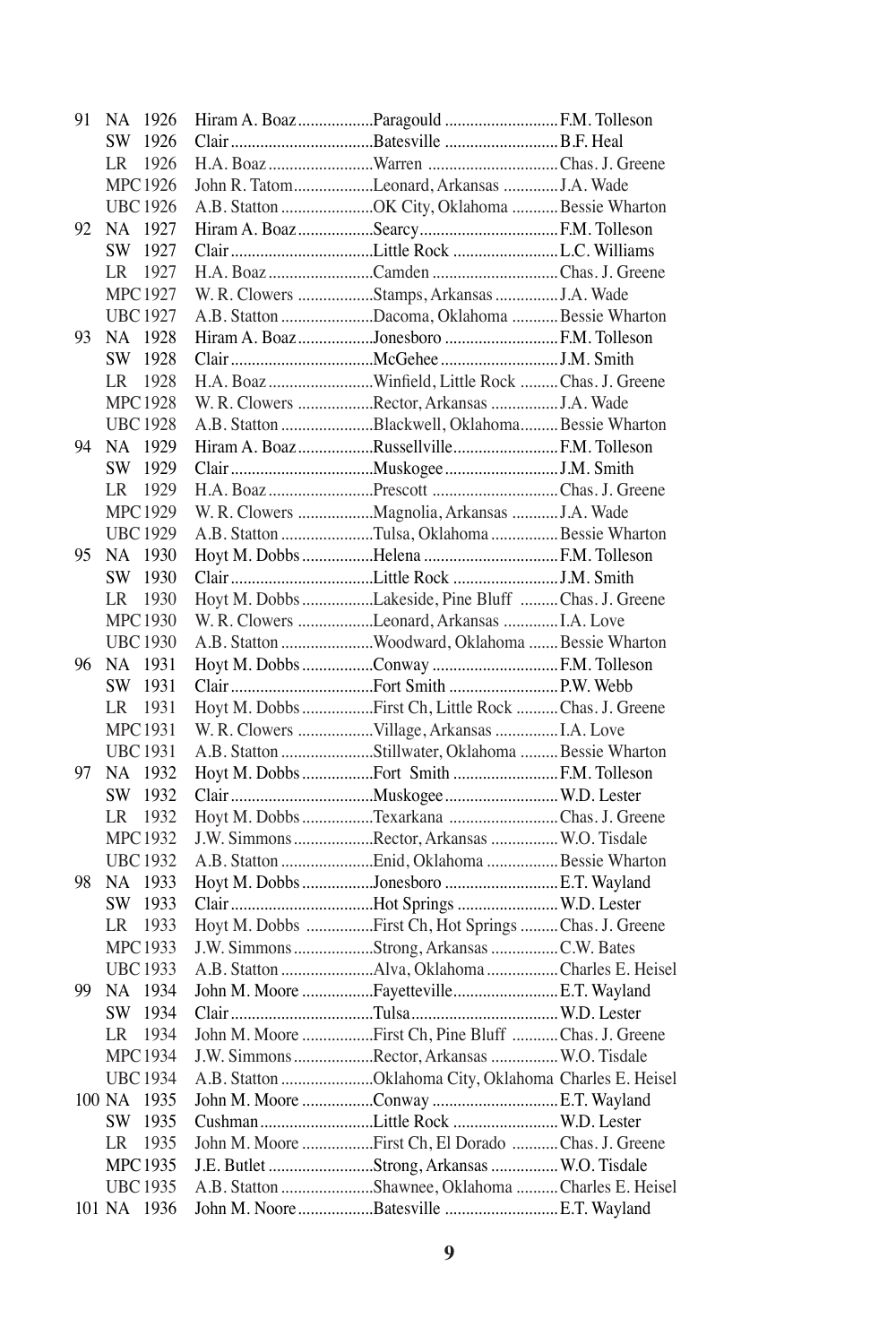| 91 | NA 1926        |                 |                                                        |  |
|----|----------------|-----------------|--------------------------------------------------------|--|
|    |                | SW 1926         |                                                        |  |
|    |                | LR 1926         |                                                        |  |
|    |                | MPC 1926        | John R. TatomLeonard, Arkansas  J.A. Wade              |  |
|    |                | <b>UBC</b> 1926 | A.B. Statton OK City, Oklahoma Bessie Wharton          |  |
|    | 92 NA 1927     |                 | Hiram A. Boaz Searcy  F.M. Tolleson                    |  |
|    |                | SW 1927         |                                                        |  |
|    | LR 1927        |                 | H.A. Boaz Camden Chas. J. Greene                       |  |
|    |                | <b>MPC1927</b>  | W. R. Clowers Stamps, Arkansas  J.A. Wade              |  |
|    | <b>UBC1927</b> |                 | A.B. Statton Dacoma, Oklahoma  Bessie Wharton          |  |
| 93 | NA 1928        |                 | Hiram A. Boaz Jonesboro  F.M. Tolleson                 |  |
|    | SW 1928        |                 |                                                        |  |
|    | LR 1928        |                 | H.A. Boaz Winfield, Little Rock Chas. J. Greene        |  |
|    |                | <b>MPC1928</b>  | W. R. Clowers Rector, Arkansas J.A. Wade               |  |
|    |                | <b>UBC1928</b>  | A.B. Statton Blackwell, Oklahoma Bessie Wharton        |  |
|    | 94 NA 1929     |                 | Hiram A. BoazRussellvilleF.M. Tolleson                 |  |
|    | SW 1929        |                 |                                                        |  |
|    | LR 1929        |                 | H.A. Boaz Prescott Chas. J. Greene                     |  |
|    |                | <b>MPC1929</b>  |                                                        |  |
|    |                |                 |                                                        |  |
|    |                | <b>UBC1929</b>  | A.B. Statton Tulsa, Oklahoma Bessie Wharton            |  |
| 95 | NA 1930        |                 | Hoyt M. Dobbs Helena  F.M. Tolleson                    |  |
|    | SW 1930        |                 |                                                        |  |
|    | LR 1930        |                 | Hoyt M. Dobbs Lakeside, Pine Bluff Chas. J. Greene     |  |
|    | <b>MPC1930</b> |                 | W. R. Clowers Leonard, Arkansas  I.A. Love             |  |
|    | <b>UBC1930</b> |                 | A.B. Statton Woodward, Oklahoma  Bessie Wharton        |  |
|    | 96 NA 1931     |                 | Hoyt M. Dobbs Conway  F.M. Tolleson                    |  |
|    | SW 1931        |                 |                                                        |  |
|    | LR 1931        |                 | Hoyt M. Dobbs First Ch, Little Rock  Chas. J. Greene   |  |
|    | <b>MPC1931</b> |                 | W. R. Clowers Village, Arkansas I.A. Love              |  |
|    | <b>UBC1931</b> |                 | A.B. Statton Stillwater, Oklahoma  Bessie Wharton      |  |
| 97 | NA 1932        |                 | Hoyt M. Dobbs Fort Smith  F.M. Tolleson                |  |
|    |                | SW 1932         |                                                        |  |
|    | LR 1932        |                 | Hoyt M. Dobbs Texarkana Chas. J. Greene                |  |
|    |                | <b>MPC1932</b>  | J.W. Simmons Rector, Arkansas  W.O. Tisdale            |  |
|    |                | <b>UBC1932</b>  | A.B. Statton Enid, Oklahoma  Bessie Wharton            |  |
|    | 98 NA 1933     |                 | Hoyt M. Dobbs Jonesboro E.T. Wayland                   |  |
|    | SW 1933        |                 | Clair Hot Springs  W.D. Lester                         |  |
|    | LR 1933        |                 | Hoyt M. Dobbs First Ch, Hot Springs  Chas. J. Greene   |  |
|    | <b>MPC1933</b> |                 | J.W. Simmons Strong, Arkansas C.W. Bates               |  |
|    | <b>UBC1933</b> |                 | A.B. Statton Alva, Oklahoma Charles E. Heisel          |  |
| 99 | NA 1934        |                 | John M. Moore FayettevilleE.T. Wayland                 |  |
|    |                | SW 1934         |                                                        |  |
|    | LR             | 1934            | John M. Moore First Ch, Pine Bluff Chas. J. Greene     |  |
|    | MPC1934        |                 | J.W. Simmons Rector, Arkansas  W.O. Tisdale            |  |
|    | <b>UBC1934</b> |                 | A.B. Statton Oklahoma City, Oklahoma Charles E. Heisel |  |
|    | 100 NA 1935    |                 | John M. Moore Conway E.T. Wayland                      |  |
|    | SW 1935        |                 | Cushman Little Rock  W.D. Lester                       |  |
|    |                | 1935            |                                                        |  |
|    | LR             |                 | John M. Moore First Ch, El Dorado Chas. J. Greene      |  |
|    | MPC1935        |                 | J.E. Butlet Strong, Arkansas  W.O. Tisdale             |  |
|    | <b>UBC1935</b> |                 | A.B. Statton Shawnee, Oklahoma  Charles E. Heisel      |  |
|    | 101 NA 1936    |                 | John M. Noore Batesville E.T. Wayland                  |  |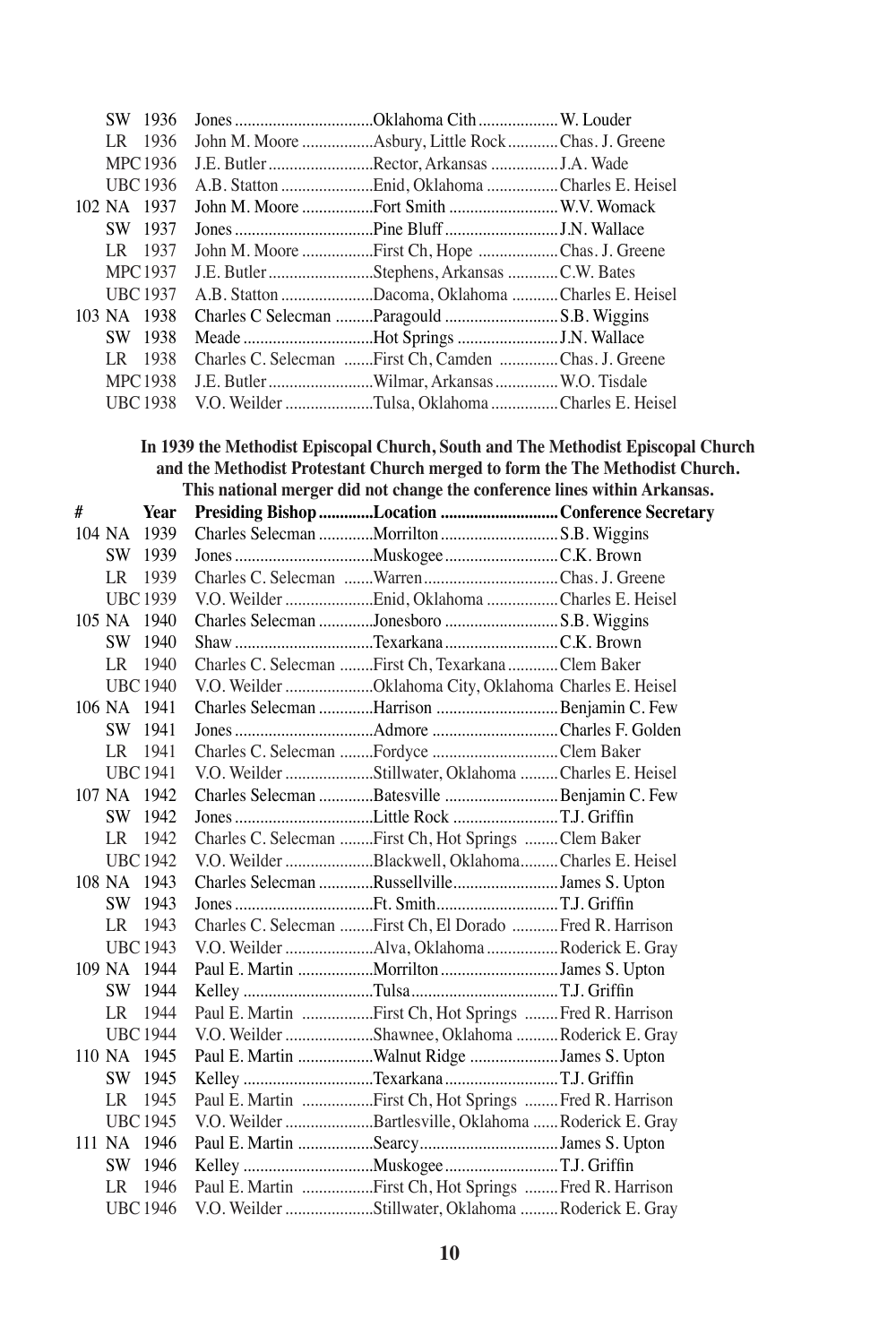|   |             | SW 1936         | Jones Oklahoma Cith W. Louder                                                |                                                                                  |
|---|-------------|-----------------|------------------------------------------------------------------------------|----------------------------------------------------------------------------------|
|   |             | LR 1936         | John M. Moore Asbury, Little Rock Chas. J. Greene                            |                                                                                  |
|   |             | <b>MPC1936</b>  | J.E. Butler Rector, Arkansas J.A. Wade                                       |                                                                                  |
|   |             | <b>UBC1936</b>  | A.B. Statton Enid, Oklahoma Charles E. Heisel                                |                                                                                  |
|   |             | 102 NA 1937     | John M. Moore Fort Smith  W.V. Womack                                        |                                                                                  |
|   |             | SW 1937         |                                                                              |                                                                                  |
|   |             | LR 1937         | John M. Moore First Ch, Hope Chas. J. Greene                                 |                                                                                  |
|   |             | <b>MPC1937</b>  | J.E. Butler Stephens, Arkansas C.W. Bates                                    |                                                                                  |
|   |             | <b>UBC1937</b>  | A.B. Statton Dacoma, Oklahoma Charles E. Heisel                              |                                                                                  |
|   |             | 103 NA 1938     | Charles C Selecman Paragould S.B. Wiggins                                    |                                                                                  |
|   |             | SW 1938         | Meade Hot Springs J.N. Wallace                                               |                                                                                  |
|   |             | LR 1938         | Charles C. Selecman First Ch, Camden Chas. J. Greene                         |                                                                                  |
|   |             | <b>MPC1938</b>  | J.E. Butler Wilmar, Arkansas  W.O. Tisdale                                   |                                                                                  |
|   |             | <b>UBC1938</b>  | V.O. Weilder Tulsa, Oklahoma Charles E. Heisel                               |                                                                                  |
|   |             |                 |                                                                              |                                                                                  |
|   |             |                 |                                                                              | In 1939 the Methodist Episcopal Church, South and The Methodist Episcopal Church |
|   |             |                 | and the Methodist Protestant Church merged to form the The Methodist Church. |                                                                                  |
|   |             |                 | This national merger did not change the conference lines within Arkansas.    |                                                                                  |
| # |             | Year            | Presiding Bishop Location Conference Secretary                               |                                                                                  |
|   |             | 104 NA 1939     | Charles Selecman Morrilton S.B. Wiggins                                      |                                                                                  |
|   |             | SW 1939         |                                                                              |                                                                                  |
|   |             | LR 1939         |                                                                              |                                                                                  |
|   |             | <b>UBC1939</b>  | V.O. Weilder Enid, Oklahoma  Charles E. Heisel                               |                                                                                  |
|   |             | 105 NA 1940     | Charles Selecman Jonesboro S.B. Wiggins                                      |                                                                                  |
|   |             | SW 1940         | Shaw Texarkana C.K. Brown                                                    |                                                                                  |
|   |             | LR 1940         | Charles C. Selecman First Ch, Texarkana Clem Baker                           |                                                                                  |
|   |             | <b>UBC 1940</b> | V.O. Weilder Oklahoma City, Oklahoma Charles E. Heisel                       |                                                                                  |
|   | 106 NA 1941 |                 | Charles Selecman Harrison Benjamin C. Few                                    |                                                                                  |
|   |             | SW 1941         |                                                                              |                                                                                  |
|   |             | LR 1941         | Charles C. Selecman Fordyce Clem Baker                                       |                                                                                  |
|   |             | <b>UBC1941</b>  | V.O. Weilder Stillwater, Oklahoma  Charles E. Heisel                         |                                                                                  |
|   |             | 107 NA 1942     | Charles Selecman Batesville Benjamin C. Few                                  |                                                                                  |
|   |             | SW 1942         |                                                                              |                                                                                  |
|   |             | LR 1942         | Charles C. Selecman First Ch, Hot Springs Clem Baker                         |                                                                                  |
|   |             | <b>UBC 1942</b> | V.O. Weilder Blackwell, Oklahoma Charles E. Heisel                           |                                                                                  |
|   |             | 108 NA 1943     | Charles Selecman RussellvilleJames S. Upton                                  |                                                                                  |
|   |             | SW 1943         |                                                                              |                                                                                  |
|   |             | LR 1943         | Charles C. Selecman First Ch, El Dorado Fred R. Harrison                     |                                                                                  |
|   |             | <b>UBC</b> 1943 | V.O. Weilder Alva, Oklahoma  Roderick E. Gray                                |                                                                                  |
|   |             | 109 NA 1944     | Paul E. Martin Morrilton James S. Upton                                      |                                                                                  |
|   |             | SW 1944         |                                                                              |                                                                                  |
|   |             | LR 1944         | Paul E. Martin First Ch, Hot Springs Fred R. Harrison                        |                                                                                  |
|   |             | <b>UBC 1944</b> | V.O. Weilder Shawnee, Oklahoma Roderick E. Gray                              |                                                                                  |
|   |             | 110 NA 1945     | Paul E. Martin Walnut Ridge James S. Upton                                   |                                                                                  |
|   |             | SW 1945         |                                                                              |                                                                                  |
|   |             | LR 1945         | Paul E. Martin First Ch, Hot Springs Fred R. Harrison                        |                                                                                  |
|   |             | <b>UBC 1945</b> | V.O. Weilder Bartlesville, Oklahoma Roderick E. Gray                         |                                                                                  |
|   | 111 NA      | 1946            | Paul E. Martin Searcy James S. Upton                                         |                                                                                  |
|   |             |                 |                                                                              |                                                                                  |
|   |             | SW 1946         |                                                                              |                                                                                  |
|   |             | LR 1946         | Paul E. Martin First Ch, Hot Springs  Fred R. Harrison                       |                                                                                  |
|   |             | <b>UBC 1946</b> | V.O. Weilder Stillwater, Oklahoma Roderick E. Gray                           |                                                                                  |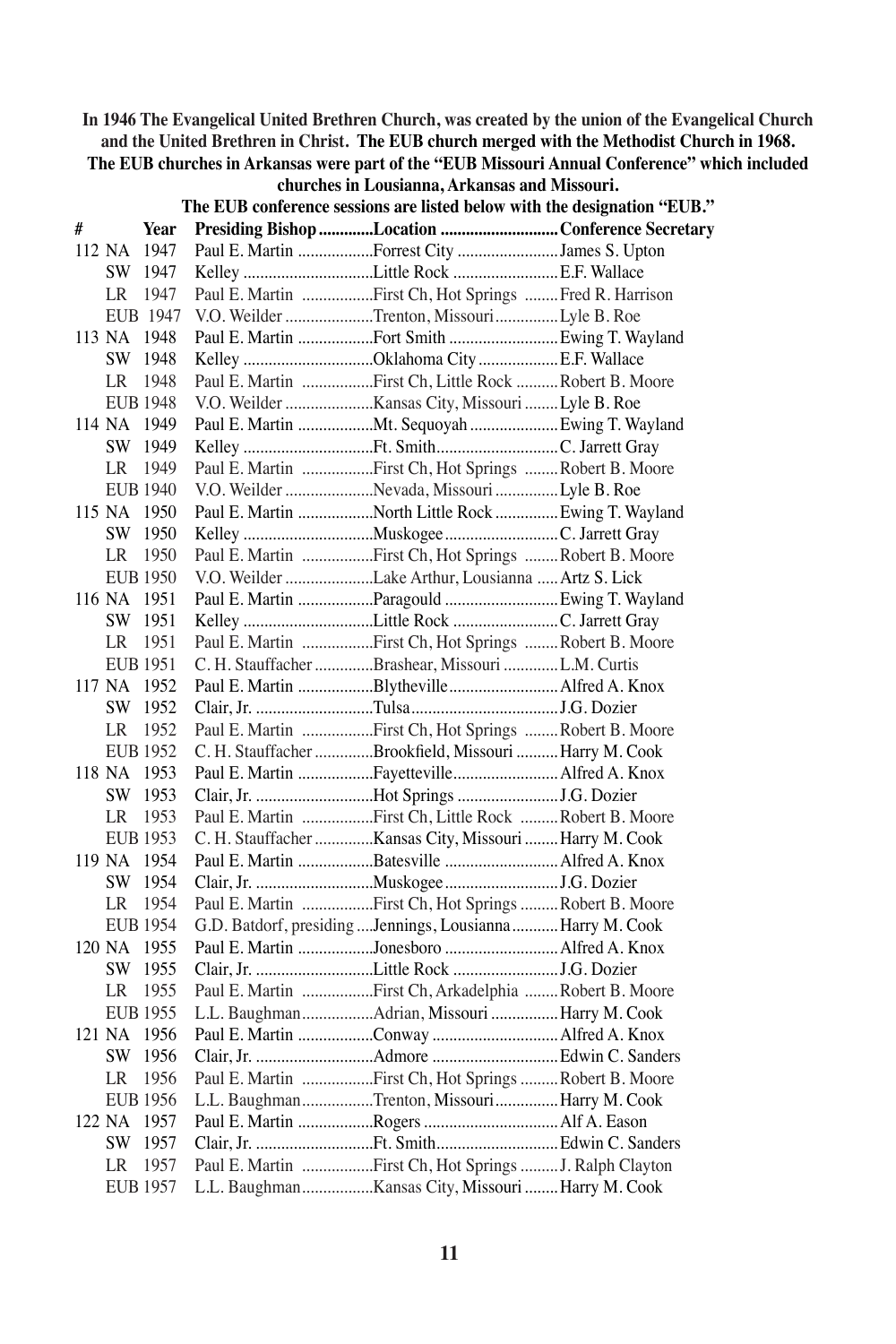**In 1946 The Evangelical United Brethren Church, was created by the union of the Evangelical Church and the United Brethren in Christ. The EUB church merged with the Methodist Church in 1968.**

## **The EUB churches in Arkansas were part of the "EUB Missouri Annual Conference" which included**

|        |     |                 | The EUB conference sessions are listed below with the designation "EUB." |  |
|--------|-----|-----------------|--------------------------------------------------------------------------|--|
| #      |     | Year            | Presiding Bishop Location Conference Secretary                           |  |
| 112 NA |     | 1947            | Paul E. Martin Forrest City James S. Upton                               |  |
|        |     | SW 1947         |                                                                          |  |
|        | LR. | 1947            | Paul E. Martin First Ch, Hot Springs Fred R. Harrison                    |  |
|        |     | EUB 1947        | V.O. Weilder Trenton, MissouriLyle B. Roe                                |  |
| 113 NA |     | 1948            | Paul E. Martin Fort Smith  Ewing T. Wayland                              |  |
|        | SW  | 1948            | Kelley Oklahoma City  E.F. Wallace                                       |  |
|        | LR  | 1948            | Paul E. Martin First Ch, Little Rock  Robert B. Moore                    |  |
|        |     | <b>EUB 1948</b> |                                                                          |  |
| 114 NA |     | 1949            | Paul E. Martin Mt. Sequoyah  Ewing T. Wayland                            |  |
|        | SW  | 1949            |                                                                          |  |
|        | LR  | 1949            | Paul E. Martin First Ch, Hot Springs Robert B. Moore                     |  |
|        |     | <b>EUB 1940</b> | V.O. Weilder Nevada, Missouri Lyle B. Roe                                |  |
| 115 NA |     | 1950            | Paul E. Martin North Little Rock  Ewing T. Wayland                       |  |
|        |     | SW 1950         |                                                                          |  |
|        | LR  | 1950            | Paul E. Martin First Ch, Hot Springs Robert B. Moore                     |  |
|        |     | <b>EUB 1950</b> | V.O. Weilder Lake Arthur, Lousianna  Artz S. Lick                        |  |
| 116 NA |     | 1951            | Paul E. Martin Paragould  Ewing T. Wayland                               |  |
|        | SW. | 1951            |                                                                          |  |
|        | LR  | 1951            | Paul E. Martin First Ch, Hot Springs Robert B. Moore                     |  |
|        |     | <b>EUB 1951</b> | C. H. Stauffacher Brashear, Missouri L.M. Curtis                         |  |
| 117 NA |     | 1952            | Paul E. Martin Blytheville Alfred A. Knox                                |  |
|        |     | SW 1952         |                                                                          |  |
|        | LR  | 1952            | Paul E. Martin First Ch, Hot Springs  Robert B. Moore                    |  |
|        |     | <b>EUB 1952</b> | C. H. Stauffacher Brookfield, Missouri  Harry M. Cook                    |  |
| 118 NA |     | 1953            | Paul E. Martin Fayetteville Alfred A. Knox                               |  |
|        | SW  | 1953            |                                                                          |  |
|        | LR  | 1953            | Paul E. Martin First Ch, Little Rock  Robert B. Moore                    |  |
|        |     | <b>EUB 1953</b> | C. H. Stauffacher Kansas City, Missouri  Harry M. Cook                   |  |
|        |     | 119 NA 1954     | Paul E. Martin Batesville Alfred A. Knox                                 |  |
|        |     | SW 1954         |                                                                          |  |
|        | LR  | 1954            | Paul E. Martin First Ch, Hot Springs  Robert B. Moore                    |  |
|        |     | <b>EUB 1954</b> | G.D. Batdorf, presiding  Jennings, Lousianna  Harry M. Cook              |  |
| 120 NA |     | 1955            | Paul E. Martin Jonesboro  Alfred A. Knox                                 |  |
|        |     | SW 1955         |                                                                          |  |
|        | LR  | 1955            | Paul E. Martin First Ch, Arkadelphia  Robert B. Moore                    |  |
|        |     | <b>EUB 1955</b> | L.L. BaughmanAdrian, Missouri  Harry M. Cook                             |  |
| 121 NA |     | 1956            | Paul E. Martin Conway  Alfred A. Knox                                    |  |
|        |     | SW 1956         |                                                                          |  |
|        | LR  | 1956            | Paul E. Martin First Ch, Hot Springs Robert B. Moore                     |  |
|        |     | <b>EUB 1956</b> | L.L. BaughmanTrenton, Missouri Harry M. Cook                             |  |
| 122 NA |     | 1957            | Paul E. Martin Rogers  Alf A. Eason                                      |  |
|        |     | SW 1957         |                                                                          |  |
|        | LR  | 1957            | Paul E. Martin First Ch, Hot Springs  J. Ralph Clayton                   |  |
|        |     | <b>EUB 1957</b> |                                                                          |  |

**churches in Lousianna, Arkansas and Missouri.**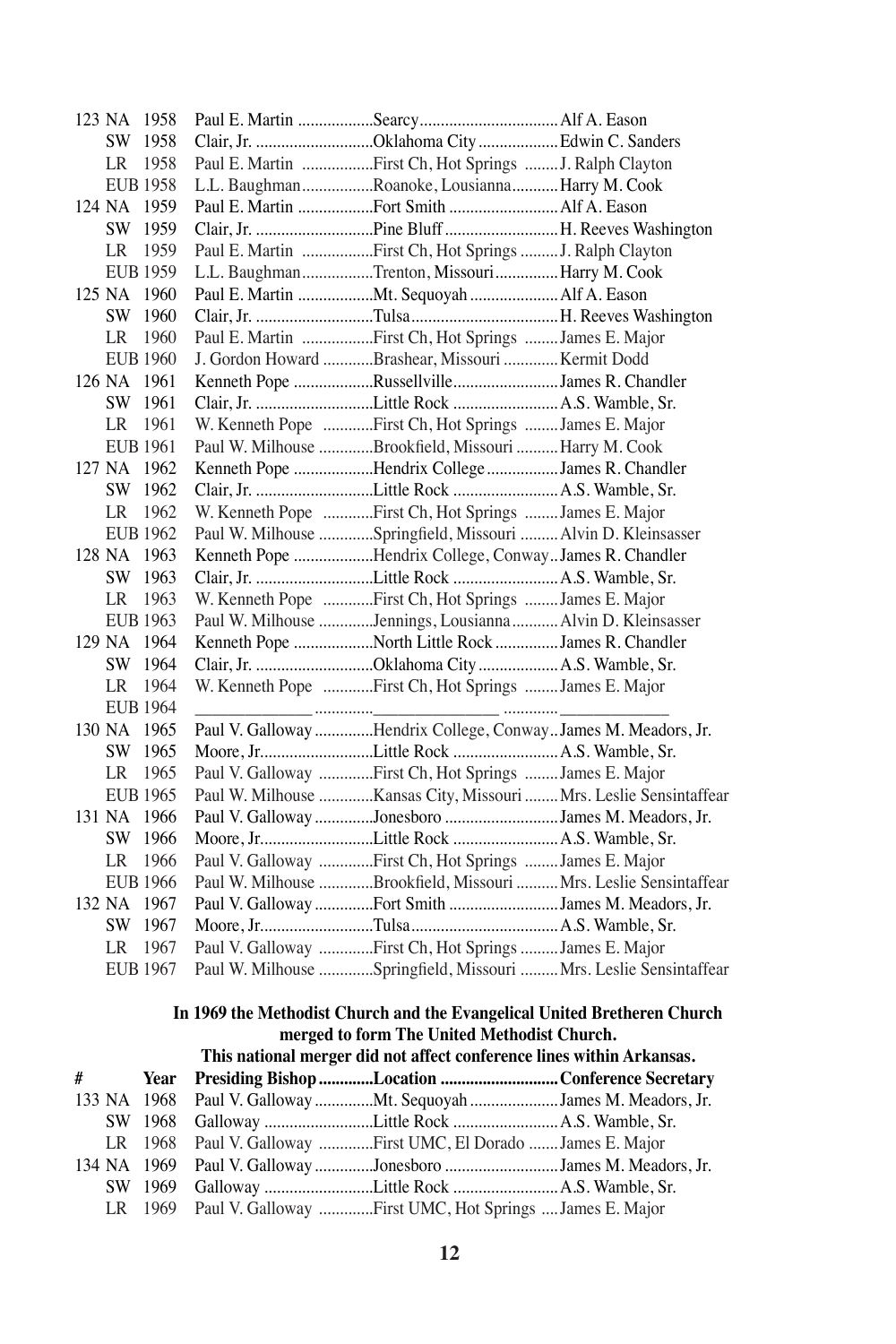|   | 123 NA 1958     |                 |                                                                          |  |
|---|-----------------|-----------------|--------------------------------------------------------------------------|--|
|   |                 | SW 1958         | Clair, Jr. Oklahoma City  Edwin C. Sanders                               |  |
|   |                 | LR 1958         | Paul E. Martin First Ch, Hot Springs  J. Ralph Clayton                   |  |
|   |                 | <b>EUB 1958</b> | L.L. BaughmanRoanoke, Lousianna Harry M. Cook                            |  |
|   | 124 NA 1959     |                 | Paul E. Martin Fort Smith  Alf A. Eason                                  |  |
|   |                 | SW 1959         |                                                                          |  |
|   |                 | LR 1959         | Paul E. Martin First Ch, Hot Springs  J. Ralph Clayton                   |  |
|   |                 | <b>EUB 1959</b> | L.L. BaughmanTrenton, Missouri Harry M. Cook                             |  |
|   | 125 NA 1960     |                 | Paul E. Martin Mt. Sequoyah  Alf A. Eason                                |  |
|   |                 | SW 1960         |                                                                          |  |
|   | <b>LR</b>       | 1960            | Paul E. Martin First Ch, Hot Springs  James E. Major                     |  |
|   |                 | <b>EUB 1960</b> | J. Gordon Howard Brashear, Missouri  Kermit Dodd                         |  |
|   | 126 NA 1961     |                 | Kenneth Pope RussellvilleJames R. Chandler                               |  |
|   | SW 1961         |                 |                                                                          |  |
|   | LR 1961         |                 | W. Kenneth Pope First Ch, Hot Springs  James E. Major                    |  |
|   | <b>EUB 1961</b> |                 | Paul W. Milhouse Brookfield, Missouri  Harry M. Cook                     |  |
|   | 127 NA 1962     |                 | Kenneth Pope Hendrix College James R. Chandler                           |  |
|   |                 | SW 1962         |                                                                          |  |
|   |                 | LR 1962         | W. Kenneth Pope First Ch, Hot Springs James E. Major                     |  |
|   |                 | <b>EUB 1962</b> | Paul W. Milhouse Springfield, Missouri  Alvin D. Kleinsasser             |  |
|   | 128 NA 1963     |                 | Kenneth Pope Hendrix College, ConwayJames R. Chandler                    |  |
|   |                 | SW 1963         |                                                                          |  |
|   | LR 1963         |                 | W. Kenneth Pope First Ch, Hot Springs  James E. Major                    |  |
|   |                 | <b>EUB 1963</b> | Paul W. Milhouse Jennings, Lousianna Alvin D. Kleinsasser                |  |
|   | 129 NA 1964     |                 | Kenneth Pope North Little Rock James R. Chandler                         |  |
|   |                 | SW 1964         | Clair, Jr. Oklahoma City  A.S. Wamble, Sr.                               |  |
|   | LR              | - 1964          | W. Kenneth Pope First Ch, Hot Springs James E. Major                     |  |
|   |                 | <b>EUB 1964</b> |                                                                          |  |
|   | 130 NA 1965     |                 | Paul V. Galloway Hendrix College, ConwayJames M. Meadors, Jr.            |  |
|   |                 | SW 1965         |                                                                          |  |
|   | LR              | 1965            | Paul V. Galloway First Ch, Hot Springs James E. Major                    |  |
|   |                 | <b>EUB 1965</b> | Paul W. Milhouse Kansas City, Missouri  Mrs. Leslie Sensintaffear        |  |
|   | 131 NA 1966     |                 | Paul V. Galloway Jonesboro James M. Meadors, Jr.                         |  |
|   |                 | SW 1966         |                                                                          |  |
|   | LR –            | 1966            | Paul V. Galloway First Ch, Hot Springs James E. Major                    |  |
|   |                 | EUB 1966        | Paul W. Milhouse Brookfield, Missouri  Mrs. Leslie Sensintaffear         |  |
|   | 132 NA 1967     |                 | Paul V. Galloway Fort Smith James M. Meadors, Jr.                        |  |
|   |                 | SW 1967         |                                                                          |  |
|   | LR              | 1967            | Paul V. Galloway First Ch, Hot Springs  James E. Major                   |  |
|   | <b>EUB 1967</b> |                 | Paul W. Milhouse Springfield, Missouri  Mrs. Leslie Sensintaffear        |  |
|   |                 |                 | In 1969 the Methodist Church and the Evangelical United Bretheren Church |  |
|   |                 |                 | merged to form The United Methodist Church.                              |  |
|   |                 |                 | This national merger did not affect conference lines within Arkansas.    |  |
| # |                 | Year            | Presiding Bishop Location Conference Secretary                           |  |
|   | 133 NA 1968     |                 | Paul V. Galloway Mt. Sequoyah James M. Meadors, Jr.                      |  |
|   |                 | SW 1968         | Galloway Little Rock  A.S. Wamble, Sr.                                   |  |
|   |                 |                 |                                                                          |  |

- LR 1968 Paul V. Galloway .............First UMC, El Dorado .......James E. Major 134 NA 1969 Paul V. Galloway..............Jonesboro ...........................James M. Meadors, Jr. SW 1969 Galloway ..........................Little Rock .........................A.S. Wamble, Sr.
	- LR 1969 Paul V. Galloway .............First UMC, Hot Springs ....James E. Major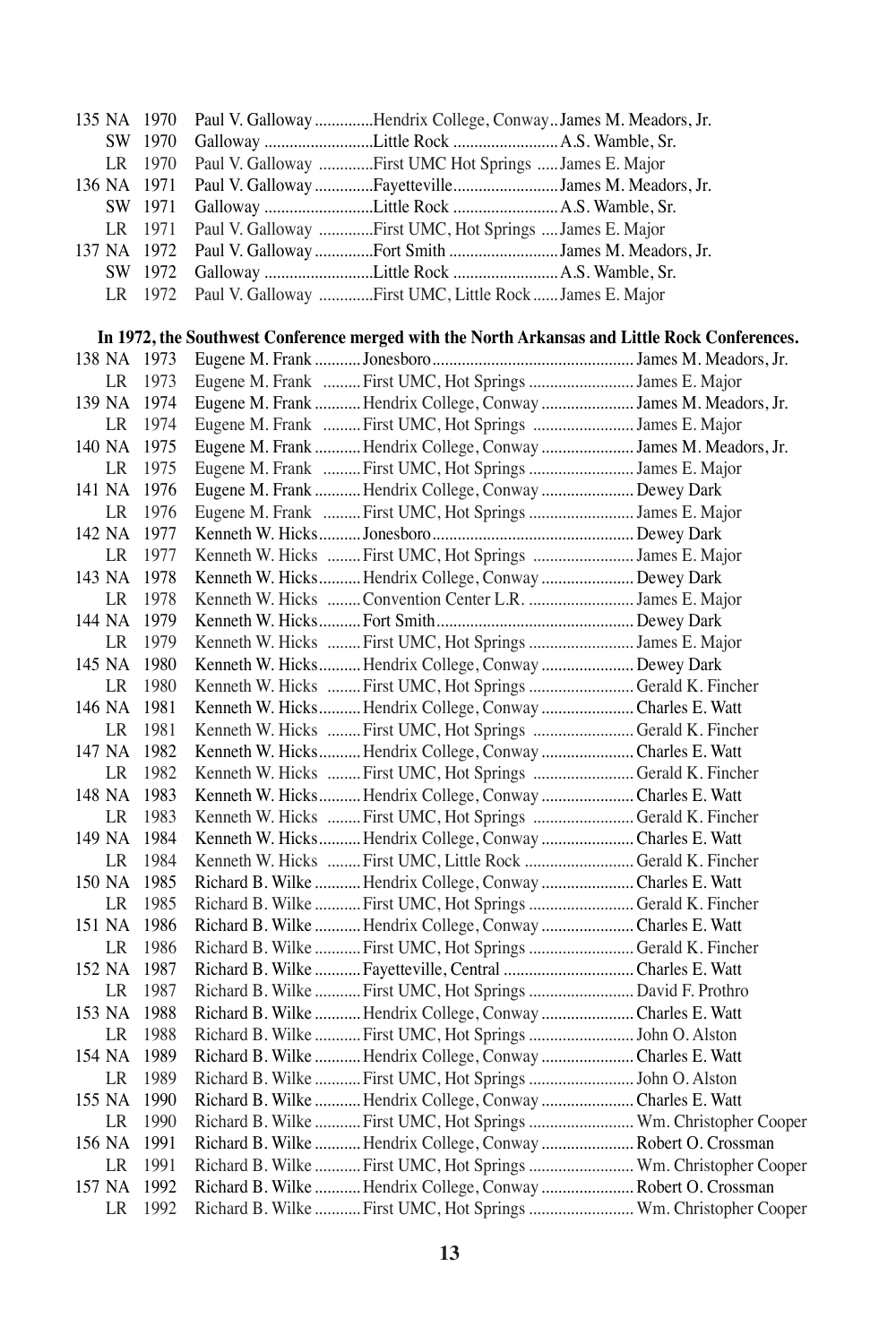|        |    | 135 NA 1970 | Paul V. Galloway Hendrix College, ConwayJames M. Meadors, Jr.                                 |  |
|--------|----|-------------|-----------------------------------------------------------------------------------------------|--|
|        |    | SW 1970     |                                                                                               |  |
|        | LR | 1970        | Paul V. Galloway First UMC Hot Springs  James E. Major                                        |  |
|        |    | 136 NA 1971 | Paul V. Galloway FayettevilleJames M. Meadors, Jr.                                            |  |
|        |    | SW 1971     | Galloway Little Rock  A.S. Wamble, Sr.                                                        |  |
|        | LR | 1971        | Paul V. Galloway First UMC, Hot Springs  James E. Major                                       |  |
|        |    | 137 NA 1972 | Paul V. Galloway Fort Smith James M. Meadors, Jr.                                             |  |
|        |    | SW 1972     |                                                                                               |  |
|        | LR | 1972        | Paul V. Galloway First UMC, Little Rock  James E. Major                                       |  |
|        |    |             |                                                                                               |  |
|        |    |             | In 1972, the Southwest Conference merged with the North Arkansas and Little Rock Conferences. |  |
|        |    | 138 NA 1973 |                                                                                               |  |
|        | LR | 1973        | Eugene M. Frank  First UMC, Hot Springs  James E. Major                                       |  |
|        |    | 139 NA 1974 | Eugene M. Frank  Hendrix College, Conway  James M. Meadors, Jr.                               |  |
|        | LR | 1974        | Eugene M. Frank  First UMC, Hot Springs  James E. Major                                       |  |
|        |    | 140 NA 1975 | Eugene M. Frank  Hendrix College, Conway  James M. Meadors, Jr.                               |  |
|        | LR | 1975        | Eugene M. Frank  First UMC, Hot Springs  James E. Major                                       |  |
|        |    | 141 NA 1976 | Eugene M. Frank  Hendrix College, Conway  Dewey Dark                                          |  |
|        | LR | 1976        | Eugene M. Frank  First UMC, Hot Springs  James E. Major                                       |  |
|        |    | 142 NA 1977 |                                                                                               |  |
|        | LR | 1977        | Kenneth W. Hicks  First UMC, Hot Springs  James E. Major                                      |  |
|        |    | 143 NA 1978 | Kenneth W. Hicks Hendrix College, Conway  Dewey Dark                                          |  |
|        | LR | 1978        | Kenneth W. Hicks  Convention Center L.R.  James E. Major                                      |  |
|        |    | 144 NA 1979 |                                                                                               |  |
|        | LR | 1979        | Kenneth W. Hicks  First UMC, Hot Springs  James E. Major                                      |  |
|        |    | 145 NA 1980 | Kenneth W. Hicks Hendrix College, Conway  Dewey Dark                                          |  |
|        | LR | 1980        | Kenneth W. Hicks  First UMC, Hot Springs  Gerald K. Fincher                                   |  |
|        |    | 146 NA 1981 | Kenneth W. Hicks Hendrix College, Conway Charles E. Watt                                      |  |
|        | LR | 1981        | Kenneth W. Hicks  First UMC, Hot Springs  Gerald K. Fincher                                   |  |
|        |    | 147 NA 1982 | Kenneth W. Hicks Hendrix College, Conway  Charles E. Watt                                     |  |
|        | LR | 1982        | Kenneth W. Hicks  First UMC, Hot Springs  Gerald K. Fincher                                   |  |
|        |    | 148 NA 1983 | Kenneth W. Hicks Hendrix College, Conway  Charles E. Watt                                     |  |
|        | LR | 1983        | Kenneth W. Hicks  First UMC, Hot Springs  Gerald K. Fincher                                   |  |
|        |    | 149 NA 1984 | Kenneth W. Hicks Hendrix College, Conway  Charles E. Watt                                     |  |
|        | LR | 1984        | Kenneth W. Hicks  First UMC, Little Rock  Gerald K. Fincher                                   |  |
|        |    | 150 NA 1985 | Richard B. Wilke  Hendrix College, Conway  Charles E. Watt                                    |  |
|        | LR | 1985        | Richard B. Wilke  First UMC, Hot Springs  Gerald K. Fincher                                   |  |
|        |    | 151 NA 1986 | Richard B. Wilke  Hendrix College, Conway  Charles E. Watt                                    |  |
|        | LR | 1986        | Richard B. Wilke  First UMC, Hot Springs  Gerald K. Fincher                                   |  |
|        |    | 152 NA 1987 | Richard B. Wilke  Fayetteville, Central  Charles E. Watt                                      |  |
|        | LR | 1987        | Richard B. Wilke  First UMC, Hot Springs  David F. Prothro                                    |  |
|        |    | 153 NA 1988 | Richard B. Wilke  Hendrix College, Conway  Charles E. Watt                                    |  |
|        | LR | 1988        | Richard B. Wilke  First UMC, Hot Springs  John O. Alston                                      |  |
| 154 NA |    | 1989        | Richard B. Wilke  Hendrix College, Conway  Charles E. Watt                                    |  |
|        | LR | 1989        | Richard B. Wilke  First UMC, Hot Springs  John O. Alston                                      |  |
| 155 NA |    | 1990        | Richard B. Wilke  Hendrix College, Conway  Charles E. Watt                                    |  |
|        | LR | 1990        | Richard B. Wilke  First UMC, Hot Springs  Wm. Christopher Cooper                              |  |
| 156 NA |    | 1991        | Richard B. Wilke  Hendrix College, Conway  Robert O. Crossman                                 |  |
|        | LR | 1991        | Richard B. Wilke  First UMC, Hot Springs  Wm. Christopher Cooper                              |  |
| 157 NA |    | 1992        | Richard B. Wilke  Hendrix College, Conway  Robert O. Crossman                                 |  |
|        | LR | 1992        | Richard B. Wilke  First UMC, Hot Springs  Wm. Christopher Cooper                              |  |